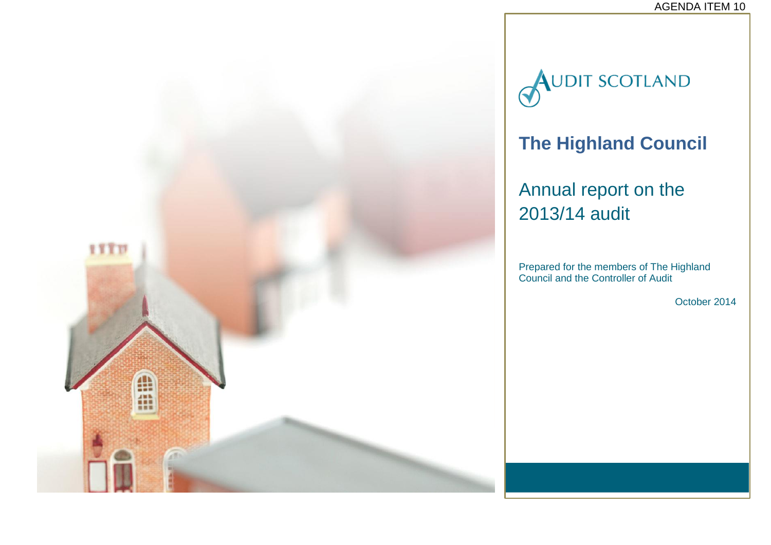

**AUDIT SCOTLAND** 

## **The Highland Council**

## Annual report on the 2013/14 audit

Prepared for the members of The Highland Council and the Controller of Audit

October 2014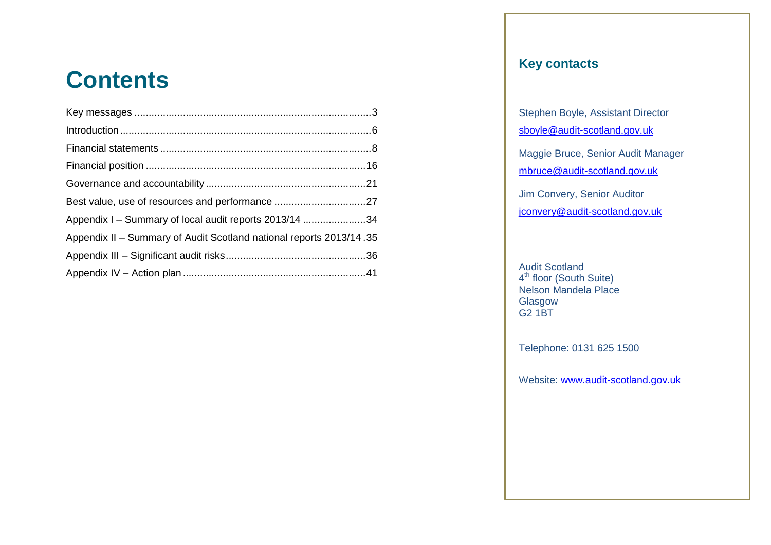## **Contents**

| Best value, use of resources and performance 27                     |  |
|---------------------------------------------------------------------|--|
| Appendix I - Summary of local audit reports 2013/14 34              |  |
| Appendix II - Summary of Audit Scotland national reports 2013/14.35 |  |
|                                                                     |  |
|                                                                     |  |

## **Key contacts**

Stephen Boyle, Assistant Director sboyle@audit-scotland.gov.uk

[mbruce@audit-scotland.gov.uk](mailto:mbruce@audit-scotland.gov.uk) Maggie Bruce, Senior Audit Manager

Jim Convery, Senior Auditor <u>[jconvery@audit-scotland.gov.uk](mailto:jconvery@audit-scotland.gov.uk)</u>

Telephone: 084<br>Glasgow Audit Scotland 4<sup>th</sup> floor (South Suite) Nelson Mandela Place G2 1BT

Telephone: 0131 625 1500

Website: [www.audit-scotland.gov.uk](http://www.audit-scotland.gov.uk/)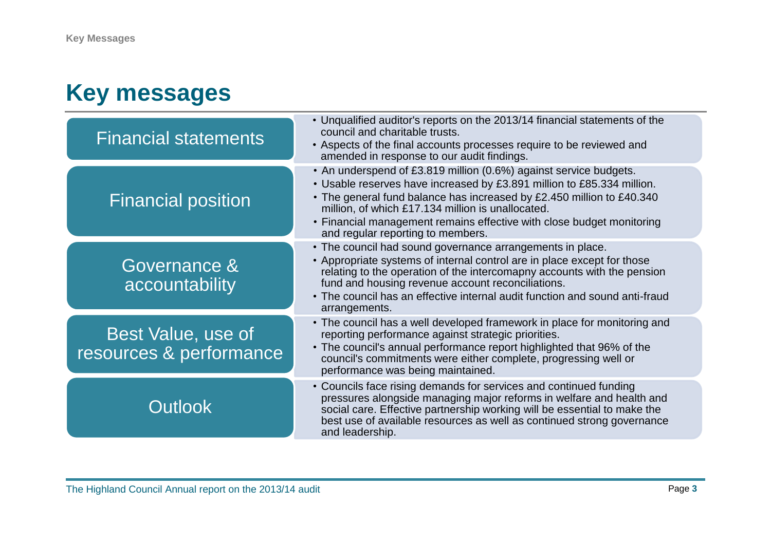## <span id="page-2-0"></span>**Key messages**

| <b>Financial statements</b>                   | • Unqualified auditor's reports on the 2013/14 financial statements of the<br>council and charitable trusts.<br>• Aspects of the final accounts processes require to be reviewed and<br>amended in response to our audit findings.                                                                                                                                                      |
|-----------------------------------------------|-----------------------------------------------------------------------------------------------------------------------------------------------------------------------------------------------------------------------------------------------------------------------------------------------------------------------------------------------------------------------------------------|
| <b>Financial position</b>                     | • An underspend of £3.819 million (0.6%) against service budgets.<br>• Usable reserves have increased by £3.891 million to £85.334 million.<br>• The general fund balance has increased by £2.450 million to £40.340<br>million, of which £17.134 million is unallocated.<br>• Financial management remains effective with close budget monitoring<br>and regular reporting to members. |
| Governance &<br>accountability                | • The council had sound governance arrangements in place.<br>• Appropriate systems of internal control are in place except for those<br>relating to the operation of the intercomapny accounts with the pension<br>fund and housing revenue account reconciliations.<br>• The council has an effective internal audit function and sound anti-fraud<br>arrangements.                    |
| Best Value, use of<br>resources & performance | • The council has a well developed framework in place for monitoring and<br>reporting performance against strategic priorities.<br>• The council's annual performance report highlighted that 96% of the<br>council's commitments were either complete, progressing well or<br>performance was being maintained.                                                                        |
| <b>Outlook</b>                                | • Councils face rising demands for services and continued funding<br>pressures alongside managing major reforms in welfare and health and<br>social care. Effective partnership working will be essential to make the<br>best use of available resources as well as continued strong governance<br>and leadership.                                                                      |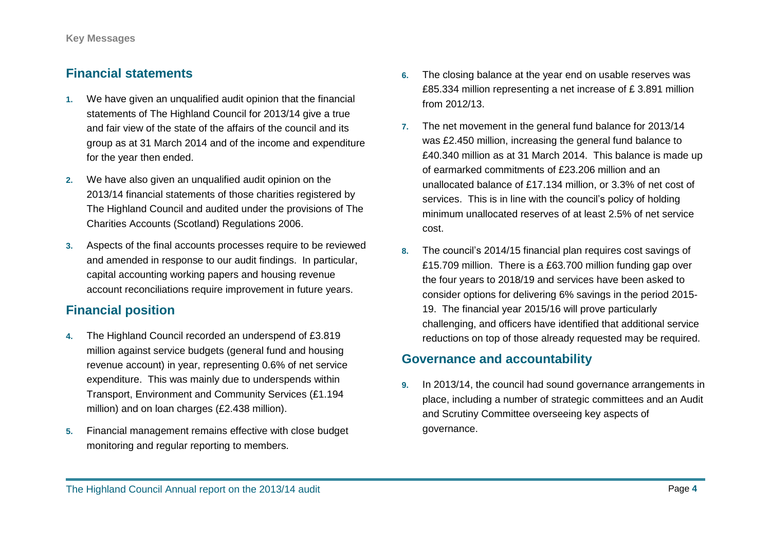## **Financial statements**

- **1.** We have given an unqualified audit opinion that the financial statements of The Highland Council for 2013/14 give a true and fair view of the state of the affairs of the council and its group as at 31 March 2014 and of the income and expenditure for the year then ended.
- **2.** We have also given an unqualified audit opinion on the 2013/14 financial statements of those charities registered by The Highland Council and audited under the provisions of The Charities Accounts (Scotland) Regulations 2006.
- **3.** Aspects of the final accounts processes require to be reviewed and amended in response to our audit findings. In particular, capital accounting working papers and housing revenue account reconciliations require improvement in future years.

### **Financial position**

- **4.** The Highland Council recorded an underspend of £3.819 million against service budgets (general fund and housing revenue account) in year, representing 0.6% of net service expenditure. This was mainly due to underspends within Transport, Environment and Community Services (£1.194 million) and on loan charges (£2.438 million).
- **5.** Financial management remains effective with close budget monitoring and regular reporting to members.
- **6.** The closing balance at the year end on usable reserves was £85.334 million representing a net increase of £ 3.891 million from 2012/13.
- **7.** The net movement in the general fund balance for 2013/14 was £2.450 million, increasing the general fund balance to £40.340 million as at 31 March 2014. This balance is made up of earmarked commitments of £23.206 million and an unallocated balance of £17.134 million, or 3.3% of net cost of services. This is in line with the council's policy of holding minimum unallocated reserves of at least 2.5% of net service cost.
- **8.** The council's 2014/15 financial plan requires cost savings of £15.709 million. There is a £63.700 million funding gap over the four years to 2018/19 and services have been asked to consider options for delivering 6% savings in the period 2015- 19. The financial year 2015/16 will prove particularly challenging, and officers have identified that additional service reductions on top of those already requested may be required.

## **Governance and accountability**

**9.** In 2013/14, the council had sound governance arrangements in place, including a number of strategic committees and an Audit and Scrutiny Committee overseeing key aspects of governance.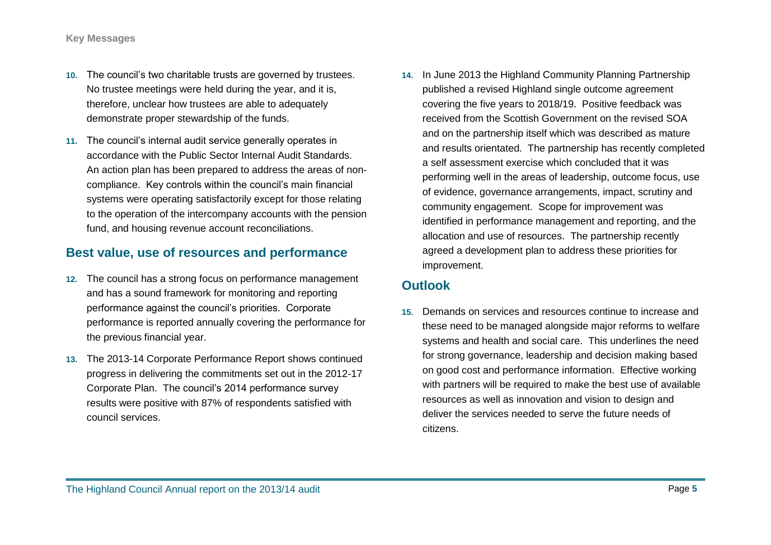- **10.** The council's two charitable trusts are governed by trustees. No trustee meetings were held during the year, and it is, therefore, unclear how trustees are able to adequately demonstrate proper stewardship of the funds.
- **11.** The council's internal audit service generally operates in accordance with the Public Sector Internal Audit Standards. An action plan has been prepared to address the areas of noncompliance. Key controls within the council's main financial systems were operating satisfactorily except for those relating to the operation of the intercompany accounts with the pension fund, and housing revenue account reconciliations.

## **Best value, use of resources and performance**

- **12.** The council has a strong focus on performance management and has a sound framework for monitoring and reporting performance against the council's priorities. Corporate performance is reported annually covering the performance for the previous financial year.
- **13.** The 2013-14 Corporate Performance Report shows continued progress in delivering the commitments set out in the 2012-17 Corporate Plan. The council's 2014 performance survey results were positive with 87% of respondents satisfied with council services.

**14.** In June 2013 the Highland Community Planning Partnership published a revised Highland single outcome agreement covering the five years to 2018/19. Positive feedback was received from the Scottish Government on the revised SOA and on the partnership itself which was described as mature and results orientated. The partnership has recently completed a self assessment exercise which concluded that it was performing well in the areas of leadership, outcome focus, use of evidence, governance arrangements, impact, scrutiny and community engagement. Scope for improvement was identified in performance management and reporting, and the allocation and use of resources. The partnership recently agreed a development plan to address these priorities for improvement.

## **Outlook**

**15.** Demands on services and resources continue to increase and these need to be managed alongside major reforms to welfare systems and health and social care. This underlines the need for strong governance, leadership and decision making based on good cost and performance information. Effective working with partners will be required to make the best use of available resources as well as innovation and vision to design and deliver the services needed to serve the future needs of citizens.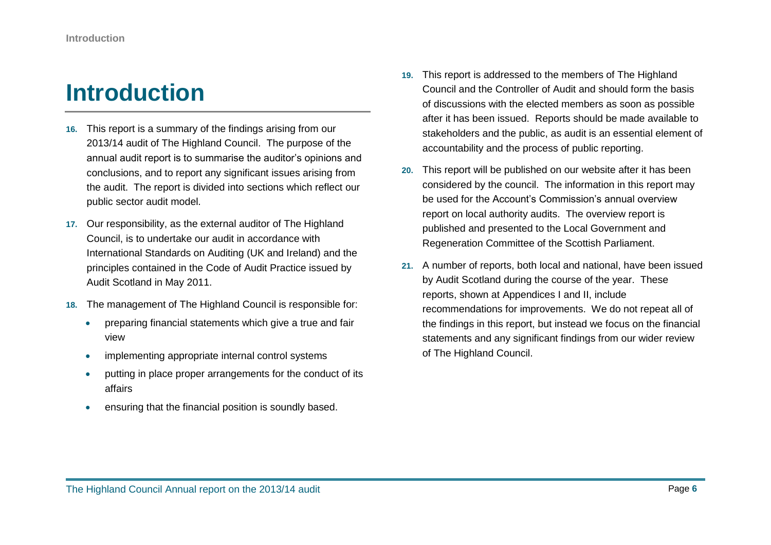## <span id="page-5-0"></span>**Introduction**

- **16.** This report is a summary of the findings arising from our 2013/14 audit of The Highland Council. The purpose of the annual audit report is to summarise the auditor's opinions and conclusions, and to report any significant issues arising from the audit. The report is divided into sections which reflect our public sector audit model.
- **17.** Our responsibility, as the external auditor of The Highland Council, is to undertake our audit in accordance with International Standards on Auditing (UK and Ireland) and the principles contained in the Code of Audit Practice issued by Audit Scotland in May 2011.
- **18.** The management of The Highland Council is responsible for:
	- **•** preparing financial statements which give a true and fair view
	- implementing appropriate internal control systems
	- putting in place proper arrangements for the conduct of its affairs
	- ensuring that the financial position is soundly based.
- **19.** This report is addressed to the members of The Highland Council and the Controller of Audit and should form the basis of discussions with the elected members as soon as possible after it has been issued. Reports should be made available to stakeholders and the public, as audit is an essential element of accountability and the process of public reporting.
- **20.** This report will be published on our website after it has been considered by the council. The information in this report may be used for the Account's Commission's annual overview report on local authority audits. The overview report is published and presented to the Local Government and Regeneration Committee of the Scottish Parliament.
- **21.** A number of reports, both local and national, have been issued by Audit Scotland during the course of the year. These reports, shown at Appendices I and II, include recommendations for improvements. We do not repeat all of the findings in this report, but instead we focus on the financial statements and any significant findings from our wider review of The Highland Council.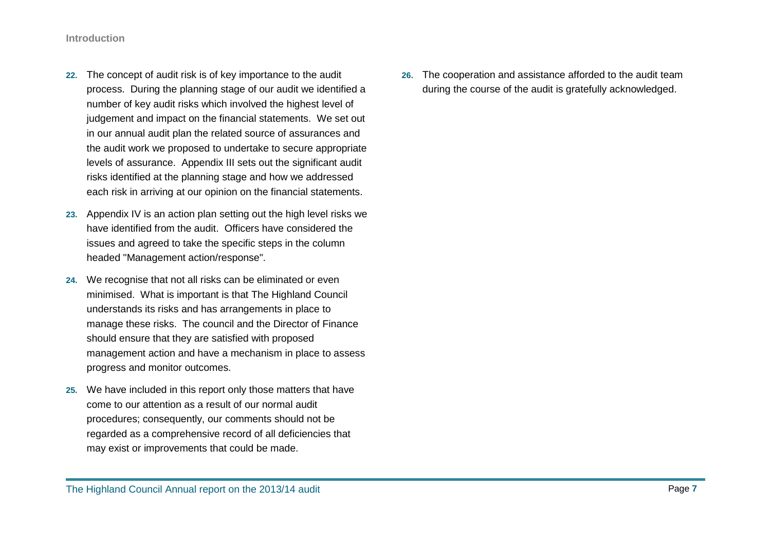- **22.** The concept of audit risk is of key importance to the audit process. During the planning stage of our audit we identified a number of key audit risks which involved the highest level of judgement and impact on the financial statements. We set out in our annual audit plan the related source of assurances and the audit work we proposed to undertake to secure appropriate levels of assurance. Appendix III sets out the significant audit risks identified at the planning stage and how we addressed each risk in arriving at our opinion on the financial statements.
- **23.** Appendix IV is an action plan setting out the high level risks we have identified from the audit. Officers have considered the issues and agreed to take the specific steps in the column headed "Management action/response".
- **24.** We recognise that not all risks can be eliminated or even minimised. What is important is that The Highland Council understands its risks and has arrangements in place to manage these risks. The council and the Director of Finance should ensure that they are satisfied with proposed management action and have a mechanism in place to assess progress and monitor outcomes.
- **25.** We have included in this report only those matters that have come to our attention as a result of our normal audit procedures; consequently, our comments should not be regarded as a comprehensive record of all deficiencies that may exist or improvements that could be made.

**26.** The cooperation and assistance afforded to the audit team during the course of the audit is gratefully acknowledged.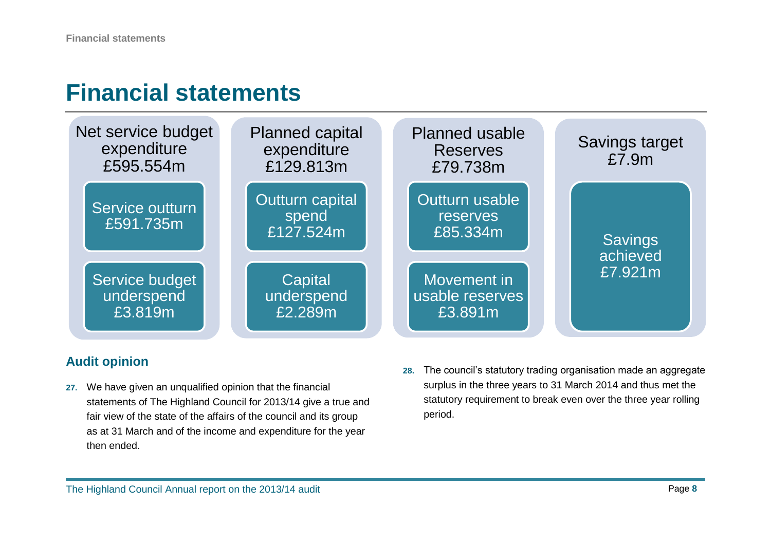## <span id="page-7-0"></span>**Financial statements**



## **Audit opinion**

- **27.** We have given an unqualified opinion that the financial statements of The Highland Council for 2013/14 give a true and fair view of the state of the affairs of the council and its group as at 31 March and of the income and expenditure for the year then ended.
- **28.** The council's statutory trading organisation made an aggregate surplus in the three years to 31 March 2014 and thus met the statutory requirement to break even over the three year rolling period.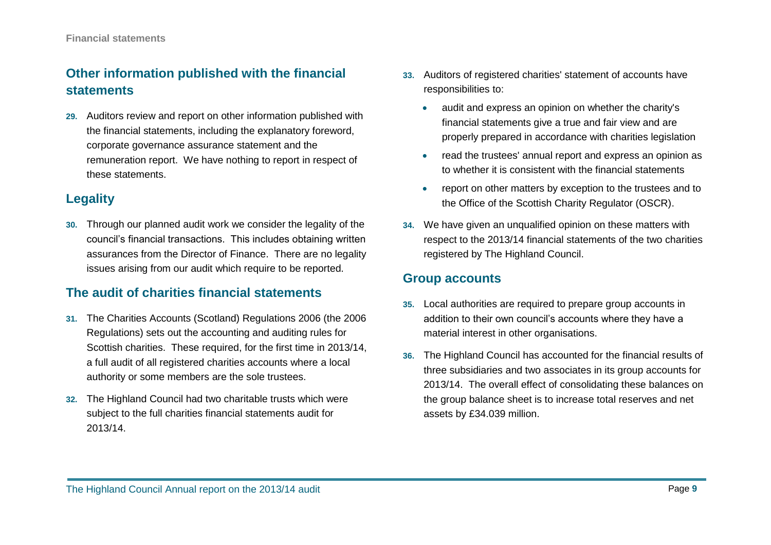## **Other information published with the financial statements**

**29.** Auditors review and report on other information published with the financial statements, including the explanatory foreword, corporate governance assurance statement and the remuneration report. We have nothing to report in respect of these statements.

## **Legality**

**30.** Through our planned audit work we consider the legality of the council's financial transactions. This includes obtaining written assurances from the Director of Finance. There are no legality issues arising from our audit which require to be reported.

## **The audit of charities financial statements**

- **31.** The Charities Accounts (Scotland) Regulations 2006 (the 2006 Regulations) sets out the accounting and auditing rules for Scottish charities. These required, for the first time in 2013/14, a full audit of all registered charities accounts where a local authority or some members are the sole trustees.
- **32.** The Highland Council had two charitable trusts which were subject to the full charities financial statements audit for 2013/14.
- **33.** Auditors of registered charities' statement of accounts have responsibilities to:
	- audit and express an opinion on whether the charity's financial statements give a true and fair view and are properly prepared in accordance with charities legislation
	- read the trustees' annual report and express an opinion as to whether it is consistent with the financial statements
	- report on other matters by exception to the trustees and to the Office of the Scottish Charity Regulator (OSCR).
- **34.** We have given an unqualified opinion on these matters with respect to the 2013/14 financial statements of the two charities registered by The Highland Council.

## **Group accounts**

- **35.** Local authorities are required to prepare group accounts in addition to their own council's accounts where they have a material interest in other organisations.
- **36.** The Highland Council has accounted for the financial results of three subsidiaries and two associates in its group accounts for 2013/14. The overall effect of consolidating these balances on the group balance sheet is to increase total reserves and net assets by £34.039 million.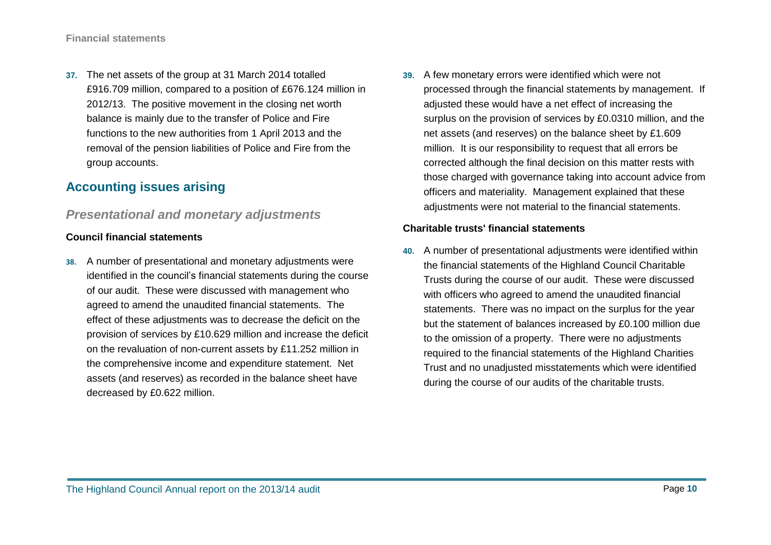**37.** The net assets of the group at 31 March 2014 totalled £916.709 million, compared to a position of £676.124 million in 2012/13. The positive movement in the closing net worth balance is mainly due to the transfer of Police and Fire functions to the new authorities from 1 April 2013 and the removal of the pension liabilities of Police and Fire from the group accounts.

## **Accounting issues arising**

## *Presentational and monetary adjustments*

#### **Council financial statements**

- **38.** A number of presentational and monetary adjustments were identified in the council's financial statements during the course of our audit. These were discussed with management who agreed to amend the unaudited financial statements. The effect of these adjustments was to decrease the deficit on the provision of services by £10.629 million and increase the deficit on the revaluation of non-current assets by £11.252 million in the comprehensive income and expenditure statement. Net assets (and reserves) as recorded in the balance sheet have decreased by £0.622 million.
- **39.** A few monetary errors were identified which were not processed through the financial statements by management. If adjusted these would have a net effect of increasing the surplus on the provision of services by £0.0310 million, and the net assets (and reserves) on the balance sheet by £1.609 million. It is our responsibility to request that all errors be corrected although the final decision on this matter rests with those charged with governance taking into account advice from officers and materiality. Management explained that these adjustments were not material to the financial statements.

#### **Charitable trusts' financial statements**

**40.** A number of presentational adjustments were identified within the financial statements of the Highland Council Charitable Trusts during the course of our audit. These were discussed with officers who agreed to amend the unaudited financial statements. There was no impact on the surplus for the year but the statement of balances increased by £0.100 million due to the omission of a property. There were no adjustments required to the financial statements of the Highland Charities Trust and no unadjusted misstatements which were identified during the course of our audits of the charitable trusts.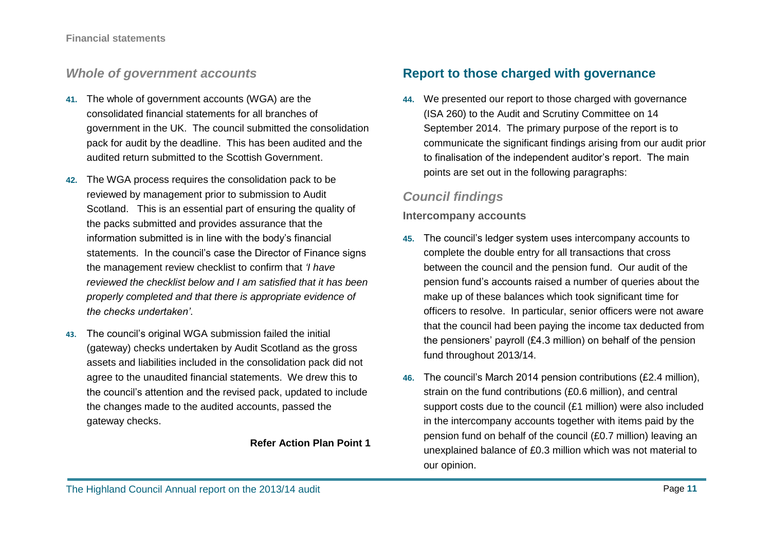## *Whole of government accounts*

- **41.** The whole of government accounts (WGA) are the consolidated financial statements for all branches of government in the UK. The council submitted the consolidation pack for audit by the deadline. This has been audited and the audited return submitted to the Scottish Government.
- **42.** The WGA process requires the consolidation pack to be reviewed by management prior to submission to Audit Scotland. This is an essential part of ensuring the quality of the packs submitted and provides assurance that the information submitted is in line with the body's financial statements. In the council's case the Director of Finance signs the management review checklist to confirm that *'I have reviewed the checklist below and I am satisfied that it has been properly completed and that there is appropriate evidence of the checks undertaken'*.
- **43.** The council's original WGA submission failed the initial (gateway) checks undertaken by Audit Scotland as the gross assets and liabilities included in the consolidation pack did not agree to the unaudited financial statements. We drew this to the council's attention and the revised pack, updated to include the changes made to the audited accounts, passed the gateway checks.

#### **Refer Action Plan Point 1**

## **Report to those charged with governance**

**44.** We presented our report to those charged with governance (ISA 260) to the Audit and Scrutiny Committee on 14 September 2014. The primary purpose of the report is to communicate the significant findings arising from our audit prior to finalisation of the independent auditor's report. The main points are set out in the following paragraphs:

## *Council findings*

#### **Intercompany accounts**

- **45.** The council's ledger system uses intercompany accounts to complete the double entry for all transactions that cross between the council and the pension fund. Our audit of the pension fund's accounts raised a number of queries about the make up of these balances which took significant time for officers to resolve. In particular, senior officers were not aware that the council had been paying the income tax deducted from the pensioners' payroll (£4.3 million) on behalf of the pension fund throughout 2013/14.
- **46.** The council's March 2014 pension contributions (£2.4 million), strain on the fund contributions (£0.6 million), and central support costs due to the council (£1 million) were also included in the intercompany accounts together with items paid by the pension fund on behalf of the council (£0.7 million) leaving an unexplained balance of £0.3 million which was not material to our opinion.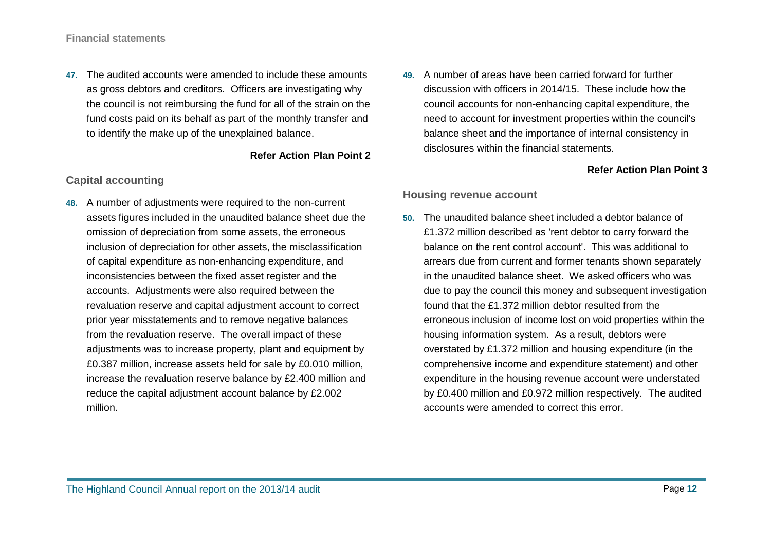**47.** The audited accounts were amended to include these amounts as gross debtors and creditors. Officers are investigating why the council is not reimbursing the fund for all of the strain on the fund costs paid on its behalf as part of the monthly transfer and to identify the make up of the unexplained balance.

#### **Refer Action Plan Point 2**

#### **Capital accounting**

- **48.** A number of adjustments were required to the non-current assets figures included in the unaudited balance sheet due the omission of depreciation from some assets, the erroneous inclusion of depreciation for other assets, the misclassification of capital expenditure as non-enhancing expenditure, and inconsistencies between the fixed asset register and the accounts. Adjustments were also required between the revaluation reserve and capital adjustment account to correct prior year misstatements and to remove negative balances from the revaluation reserve. The overall impact of these adjustments was to increase property, plant and equipment by £0.387 million, increase assets held for sale by £0.010 million, increase the revaluation reserve balance by £2.400 million and reduce the capital adjustment account balance by £2.002 million.
- **49.** A number of areas have been carried forward for further discussion with officers in 2014/15. These include how the council accounts for non-enhancing capital expenditure, the need to account for investment properties within the council's balance sheet and the importance of internal consistency in disclosures within the financial statements.

#### **Refer Action Plan Point 3**

#### **Housing revenue account**

**50.** The unaudited balance sheet included a debtor balance of £1.372 million described as 'rent debtor to carry forward the balance on the rent control account'. This was additional to arrears due from current and former tenants shown separately in the unaudited balance sheet. We asked officers who was due to pay the council this money and subsequent investigation found that the £1.372 million debtor resulted from the erroneous inclusion of income lost on void properties within the housing information system. As a result, debtors were overstated by £1.372 million and housing expenditure (in the comprehensive income and expenditure statement) and other expenditure in the housing revenue account were understated by £0.400 million and £0.972 million respectively. The audited accounts were amended to correct this error.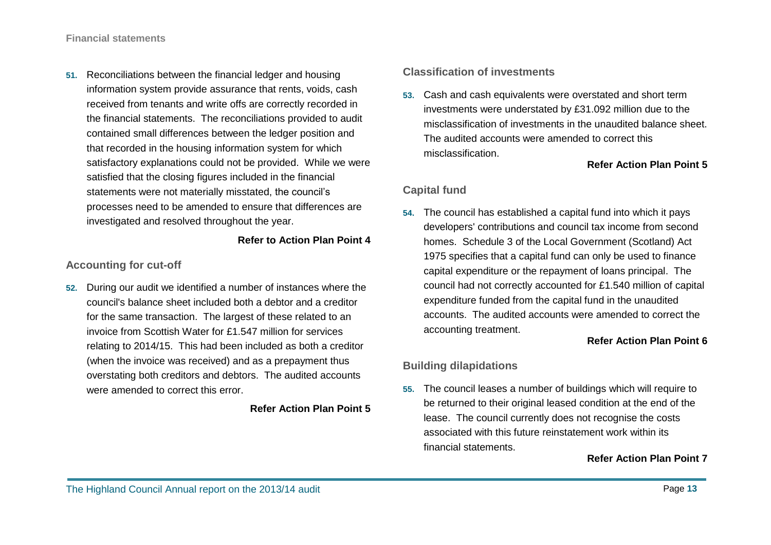**51.** Reconciliations between the financial ledger and housing information system provide assurance that rents, voids, cash received from tenants and write offs are correctly recorded in the financial statements. The reconciliations provided to audit contained small differences between the ledger position and that recorded in the housing information system for which satisfactory explanations could not be provided. While we were satisfied that the closing figures included in the financial statements were not materially misstated, the council's processes need to be amended to ensure that differences are investigated and resolved throughout the year.

#### **Refer to Action Plan Point 4**

#### **Accounting for cut-off**

**52.** During our audit we identified a number of instances where the council's balance sheet included both a debtor and a creditor for the same transaction. The largest of these related to an invoice from Scottish Water for £1.547 million for services relating to 2014/15. This had been included as both a creditor (when the invoice was received) and as a prepayment thus overstating both creditors and debtors. The audited accounts were amended to correct this error.

#### **Refer Action Plan Point 5**

#### **Classification of investments**

**53.** Cash and cash equivalents were overstated and short term investments were understated by £31.092 million due to the misclassification of investments in the unaudited balance sheet. The audited accounts were amended to correct this misclassification.

#### **Refer Action Plan Point 5**

#### **Capital fund**

**54.** The council has established a capital fund into which it pays developers' contributions and council tax income from second homes. Schedule 3 of the Local Government (Scotland) Act 1975 specifies that a capital fund can only be used to finance capital expenditure or the repayment of loans principal. The council had not correctly accounted for £1.540 million of capital expenditure funded from the capital fund in the unaudited accounts. The audited accounts were amended to correct the accounting treatment.

#### **Refer Action Plan Point 6**

### **Building dilapidations**

**55.** The council leases a number of buildings which will require to be returned to their original leased condition at the end of the lease. The council currently does not recognise the costs associated with this future reinstatement work within its financial statements.

#### **Refer Action Plan Point 7**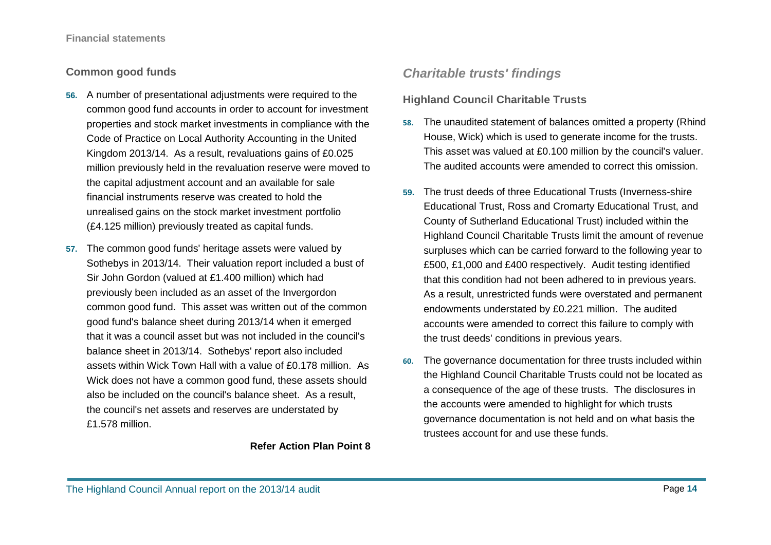#### **Common good funds**

- **56.** A number of presentational adjustments were required to the common good fund accounts in order to account for investment properties and stock market investments in compliance with the Code of Practice on Local Authority Accounting in the United Kingdom 2013/14. As a result, revaluations gains of £0.025 million previously held in the revaluation reserve were moved to the capital adjustment account and an available for sale financial instruments reserve was created to hold the unrealised gains on the stock market investment portfolio (£4.125 million) previously treated as capital funds.
- **57.** The common good funds' heritage assets were valued by Sothebys in 2013/14. Their valuation report included a bust of Sir John Gordon (valued at £1.400 million) which had previously been included as an asset of the Invergordon common good fund. This asset was written out of the common good fund's balance sheet during 2013/14 when it emerged that it was a council asset but was not included in the council's balance sheet in 2013/14. Sothebys' report also included assets within Wick Town Hall with a value of £0.178 million. As Wick does not have a common good fund, these assets should also be included on the council's balance sheet. As a result, the council's net assets and reserves are understated by £1.578 million.

#### **Refer Action Plan Point 8**

## *Charitable trusts' findings*

#### **Highland Council Charitable Trusts**

- **58.** The unaudited statement of balances omitted a property (Rhind House, Wick) which is used to generate income for the trusts. This asset was valued at £0.100 million by the council's valuer. The audited accounts were amended to correct this omission.
- **59.** The trust deeds of three Educational Trusts (Inverness-shire Educational Trust, Ross and Cromarty Educational Trust, and County of Sutherland Educational Trust) included within the Highland Council Charitable Trusts limit the amount of revenue surpluses which can be carried forward to the following year to £500, £1,000 and £400 respectively. Audit testing identified that this condition had not been adhered to in previous years. As a result, unrestricted funds were overstated and permanent endowments understated by £0.221 million. The audited accounts were amended to correct this failure to comply with the trust deeds' conditions in previous years.
- **60.** The governance documentation for three trusts included within the Highland Council Charitable Trusts could not be located as a consequence of the age of these trusts. The disclosures in the accounts were amended to highlight for which trusts governance documentation is not held and on what basis the trustees account for and use these funds.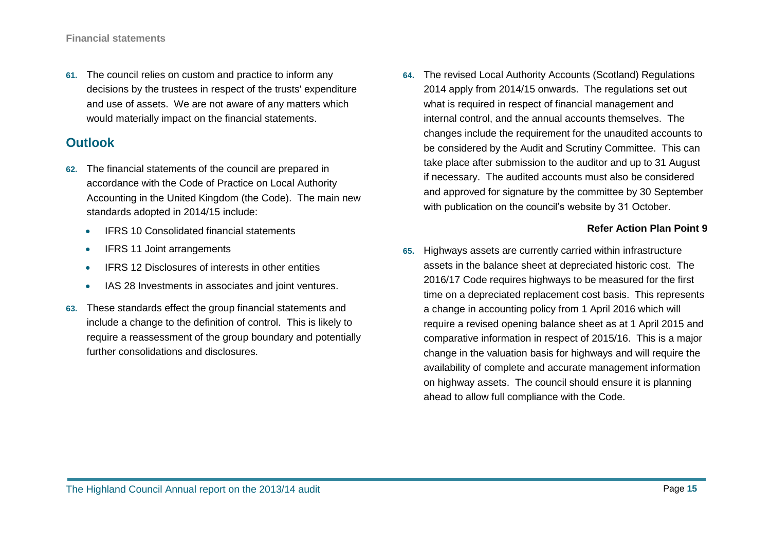**61.** The council relies on custom and practice to inform any decisions by the trustees in respect of the trusts' expenditure and use of assets. We are not aware of any matters which would materially impact on the financial statements.

## **Outlook**

- **62.** The financial statements of the council are prepared in accordance with the Code of Practice on Local Authority Accounting in the United Kingdom (the Code). The main new standards adopted in 2014/15 include:
	- **•** IFRS 10 Consolidated financial statements
	- IFRS 11 Joint arrangements
	- IFRS 12 Disclosures of interests in other entities
	- IAS 28 Investments in associates and joint ventures.
- **63.** These standards effect the group financial statements and include a change to the definition of control. This is likely to require a reassessment of the group boundary and potentially further consolidations and disclosures.

**64.** The revised Local Authority Accounts (Scotland) Regulations 2014 apply from 2014/15 onwards. The regulations set out what is required in respect of financial management and internal control, and the annual accounts themselves. The changes include the requirement for the unaudited accounts to be considered by the Audit and Scrutiny Committee. This can take place after submission to the auditor and up to 31 August if necessary. The audited accounts must also be considered and approved for signature by the committee by 30 September with publication on the council's website by 31 October.

#### **Refer Action Plan Point 9**

**65.** Highways assets are currently carried within infrastructure assets in the balance sheet at depreciated historic cost. The 2016/17 Code requires highways to be measured for the first time on a depreciated replacement cost basis. This represents a change in accounting policy from 1 April 2016 which will require a revised opening balance sheet as at 1 April 2015 and comparative information in respect of 2015/16. This is a major change in the valuation basis for highways and will require the availability of complete and accurate management information on highway assets. The council should ensure it is planning ahead to allow full compliance with the Code.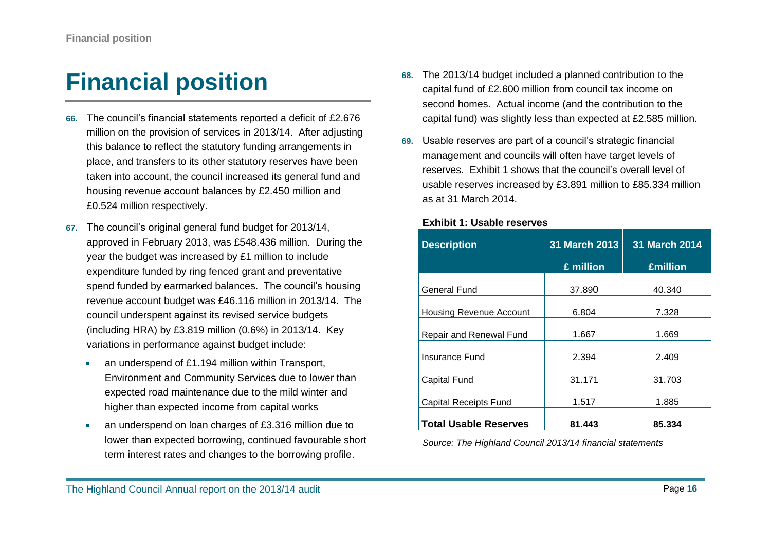# <span id="page-15-0"></span>**Financial position**

- **66.** The council's financial statements reported a deficit of £2.676 million on the provision of services in 2013/14. After adjusting this balance to reflect the statutory funding arrangements in place, and transfers to its other statutory reserves have been taken into account, the council increased its general fund and housing revenue account balances by £2.450 million and £0.524 million respectively.
- **67.** The council's original general fund budget for 2013/14, approved in February 2013, was £548.436 million. During the year the budget was increased by £1 million to include expenditure funded by ring fenced grant and preventative spend funded by earmarked balances. The council's housing revenue account budget was £46.116 million in 2013/14. The council underspent against its revised service budgets (including HRA) by £3.819 million (0.6%) in 2013/14. Key variations in performance against budget include:
	- an underspend of £1.194 million within Transport, Environment and Community Services due to lower than expected road maintenance due to the mild winter and higher than expected income from capital works
	- an underspend on loan charges of £3.316 million due to lower than expected borrowing, continued favourable short term interest rates and changes to the borrowing profile.
- **68.** The 2013/14 budget included a planned contribution to the capital fund of £2.600 million from council tax income on second homes. Actual income (and the contribution to the capital fund) was slightly less than expected at £2.585 million.
- **69.** Usable reserves are part of a council's strategic financial management and councils will often have target levels of reserves. Exhibit 1 shows that the council's overall level of usable reserves increased by £3.891 million to £85.334 million as at 31 March 2014.

**Exhibit 1: Usable reserves**

| <b>Description</b>             | 31 March 2013 | <b>31 March 2014</b> |  |
|--------------------------------|---------------|----------------------|--|
|                                | £ million     | <b>£million</b>      |  |
| <b>General Fund</b>            | 37.890        | 40.340               |  |
| <b>Housing Revenue Account</b> | 6.804         | 7.328                |  |
| Repair and Renewal Fund        | 1.667         | 1.669                |  |
| Insurance Fund                 | 2.394         | 2.409                |  |
| Capital Fund                   | 31.171        | 31.703               |  |
| <b>Capital Receipts Fund</b>   | 1.517         | 1.885                |  |
| <b>Total Usable Reserves</b>   | 81.443        | 85.334               |  |

*Source: The Highland Council 2013/14 financial statements*

#### The Highland Council Annual report on the 2013/14 audit **Page 16** and the *Page 16* and the *Page 16* and the *Page 16* and the *Page 16* and the *Page 16* and the *Page 16* and the *Page 16* and the *Page 16* and the *Pag*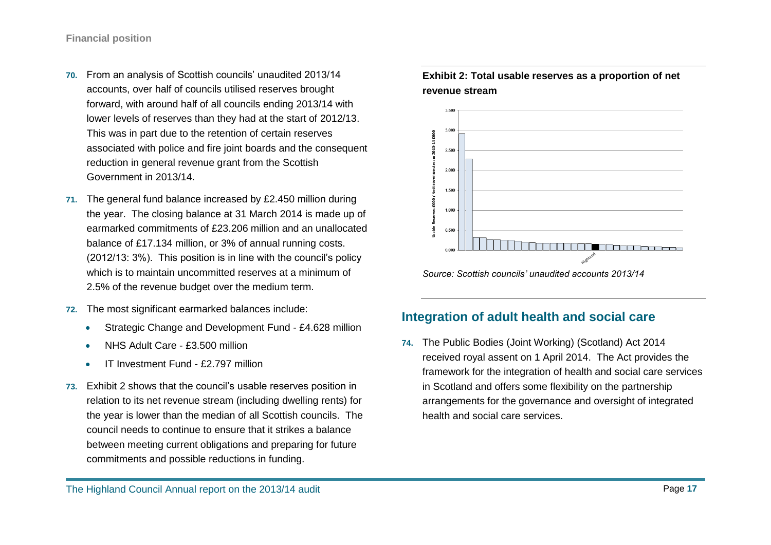- **70.** From an analysis of Scottish councils' unaudited 2013/14 accounts, over half of councils utilised reserves brought forward, with around half of all councils ending 2013/14 with lower levels of reserves than they had at the start of 2012/13. This was in part due to the retention of certain reserves associated with police and fire joint boards and the consequent reduction in general revenue grant from the Scottish Government in 2013/14.
- **71.** The general fund balance increased by £2.450 million during the year. The closing balance at 31 March 2014 is made up of earmarked commitments of £23.206 million and an unallocated balance of £17.134 million, or 3% of annual running costs. (2012/13: 3%). This position is in line with the council's policy which is to maintain uncommitted reserves at a minimum of 2.5% of the revenue budget over the medium term.
- **72.** The most significant earmarked balances include:
	- Strategic Change and Development Fund £4.628 million
	- NHS Adult Care £3.500 million
	- IT Investment Fund £2.797 million
- **73.** Exhibit 2 shows that the council's usable reserves position in relation to its net revenue stream (including dwelling rents) for the year is lower than the median of all Scottish councils. The council needs to continue to ensure that it strikes a balance between meeting current obligations and preparing for future commitments and possible reductions in funding.





## **Integration of adult health and social care**

**74.** The Public Bodies (Joint Working) (Scotland) Act 2014 received royal assent on 1 April 2014. The Act provides the framework for the integration of health and social care services in Scotland and offers some flexibility on the partnership arrangements for the governance and oversight of integrated health and social care services.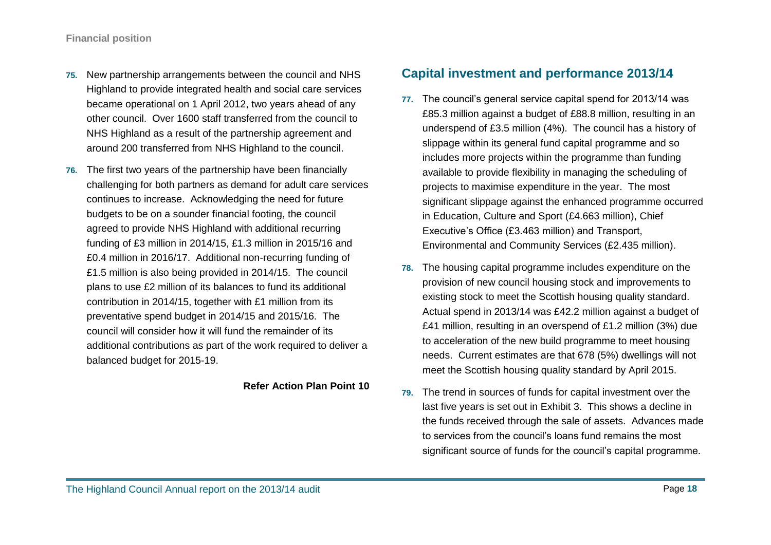- **75.** New partnership arrangements between the council and NHS Highland to provide integrated health and social care services became operational on 1 April 2012, two years ahead of any other council. Over 1600 staff transferred from the council to NHS Highland as a result of the partnership agreement and around 200 transferred from NHS Highland to the council.
- **76.** The first two years of the partnership have been financially challenging for both partners as demand for adult care services continues to increase. Acknowledging the need for future budgets to be on a sounder financial footing, the council agreed to provide NHS Highland with additional recurring funding of £3 million in 2014/15, £1.3 million in 2015/16 and £0.4 million in 2016/17. Additional non-recurring funding of £1.5 million is also being provided in 2014/15. The council plans to use £2 million of its balances to fund its additional contribution in 2014/15, together with £1 million from its preventative spend budget in 2014/15 and 2015/16. The council will consider how it will fund the remainder of its additional contributions as part of the work required to deliver a balanced budget for 2015-19.

#### **Refer Action Plan Point 10**

## **Capital investment and performance 2013/14**

- **77.** The council's general service capital spend for 2013/14 was £85.3 million against a budget of £88.8 million, resulting in an underspend of £3.5 million (4%). The council has a history of slippage within its general fund capital programme and so includes more projects within the programme than funding available to provide flexibility in managing the scheduling of projects to maximise expenditure in the year. The most significant slippage against the enhanced programme occurred in Education, Culture and Sport (£4.663 million), Chief Executive's Office (£3.463 million) and Transport, Environmental and Community Services (£2.435 million).
- **78.** The housing capital programme includes expenditure on the provision of new council housing stock and improvements to existing stock to meet the Scottish housing quality standard. Actual spend in 2013/14 was £42.2 million against a budget of £41 million, resulting in an overspend of £1.2 million (3%) due to acceleration of the new build programme to meet housing needs. Current estimates are that 678 (5%) dwellings will not meet the Scottish housing quality standard by April 2015.
- **79.** The trend in sources of funds for capital investment over the last five years is set out in Exhibit 3. This shows a decline in the funds received through the sale of assets. Advances made to services from the council's loans fund remains the most significant source of funds for the council's capital programme.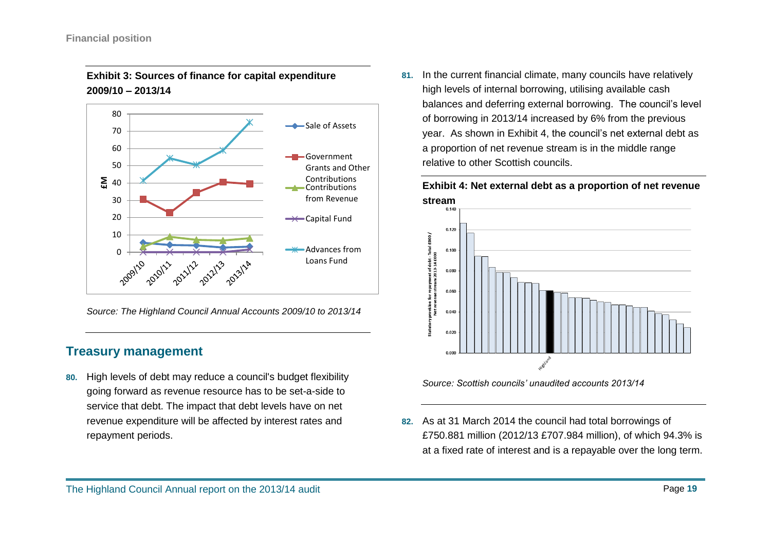

#### **Exhibit 3: Sources of finance for capital expenditure 2009/10 – 2013/14**

*Source: The Highland Council Annual Accounts 2009/10 to 2013/14*

## **Treasury management**

**80.** High levels of debt may reduce a council's budget flexibility going forward as revenue resource has to be set-a-side to service that debt. The impact that debt levels have on net revenue expenditure will be affected by interest rates and repayment periods.

**81.** In the current financial climate, many councils have relatively high levels of internal borrowing, utilising available cash balances and deferring external borrowing. The council's level of borrowing in 2013/14 increased by 6% from the previous year. As shown in Exhibit 4, the council's net external debt as a proportion of net revenue stream is in the middle range relative to other Scottish councils.

**Exhibit 4: Net external debt as a proportion of net revenue stream**



*Source: Scottish councils' unaudited accounts 2013/14*

**82.** As at 31 March 2014 the council had total borrowings of £750.881 million (2012/13 £707.984 million), of which 94.3% is at a fixed rate of interest and is a repayable over the long term.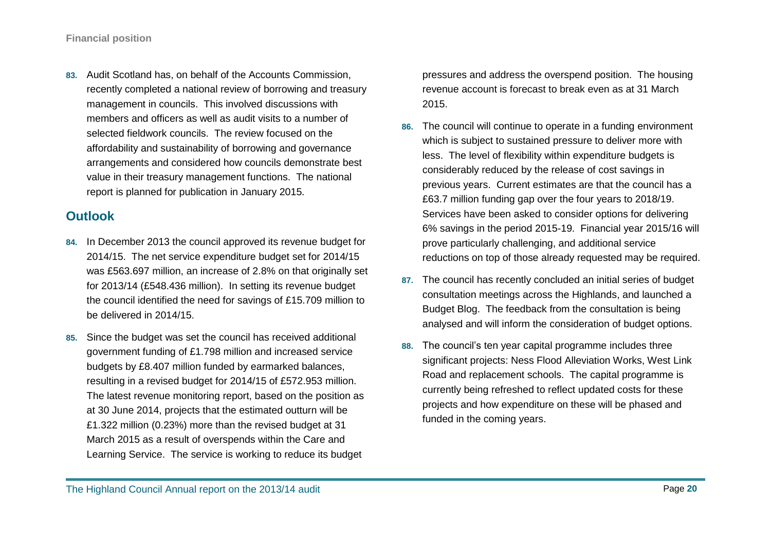**83.** Audit Scotland has, on behalf of the Accounts Commission, recently completed a national review of borrowing and treasury management in councils. This involved discussions with members and officers as well as audit visits to a number of selected fieldwork councils. The review focused on the affordability and sustainability of borrowing and governance arrangements and considered how councils demonstrate best value in their treasury management functions. The national report is planned for publication in January 2015.

## **Outlook**

- **84.** In December 2013 the council approved its revenue budget for 2014/15. The net service expenditure budget set for 2014/15 was £563.697 million, an increase of 2.8% on that originally set for 2013/14 (£548.436 million). In setting its revenue budget the council identified the need for savings of £15.709 million to be delivered in 2014/15.
- **85.** Since the budget was set the council has received additional government funding of £1.798 million and increased service budgets by £8.407 million funded by earmarked balances, resulting in a revised budget for 2014/15 of £572.953 million. The latest revenue monitoring report, based on the position as at 30 June 2014, projects that the estimated outturn will be £1.322 million (0.23%) more than the revised budget at 31 March 2015 as a result of overspends within the Care and Learning Service. The service is working to reduce its budget

pressures and address the overspend position. The housing revenue account is forecast to break even as at 31 March 2015.

- **86.** The council will continue to operate in a funding environment which is subject to sustained pressure to deliver more with less. The level of flexibility within expenditure budgets is considerably reduced by the release of cost savings in previous years. Current estimates are that the council has a £63.7 million funding gap over the four years to 2018/19. Services have been asked to consider options for delivering 6% savings in the period 2015-19. Financial year 2015/16 will prove particularly challenging, and additional service reductions on top of those already requested may be required.
- **87.** The council has recently concluded an initial series of budget consultation meetings across the Highlands, and launched a Budget Blog. The feedback from the consultation is being analysed and will inform the consideration of budget options.
- **88.** The council's ten year capital programme includes three significant projects: Ness Flood Alleviation Works, West Link Road and replacement schools. The capital programme is currently being refreshed to reflect updated costs for these projects and how expenditure on these will be phased and funded in the coming years.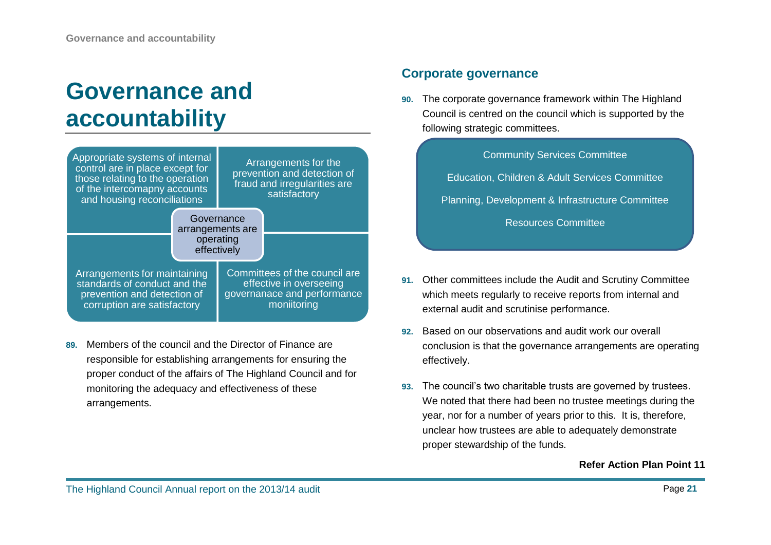## <span id="page-20-0"></span>**Governance and accountability**



**89.** Members of the council and the Director of Finance are responsible for establishing arrangements for ensuring the proper conduct of the affairs of The Highland Council and for monitoring the adequacy and effectiveness of these arrangements.

## **Corporate governance**

**90.** The corporate governance framework within The Highland Council is centred on the council which is supported by the following strategic committees.

| <b>Community Services Committee</b>              |
|--------------------------------------------------|
| Education, Children & Adult Services Committee   |
| Planning, Development & Infrastructure Committee |
| <b>Resources Committee</b>                       |

- **91.** Other committees include the Audit and Scrutiny Committee which meets regularly to receive reports from internal and external audit and scrutinise performance.
- **92.** Based on our observations and audit work our overall conclusion is that the governance arrangements are operating effectively.
- **93.** The council's two charitable trusts are governed by trustees. We noted that there had been no trustee meetings during the year, nor for a number of years prior to this. It is, therefore, unclear how trustees are able to adequately demonstrate proper stewardship of the funds.

#### **Refer Action Plan Point 11**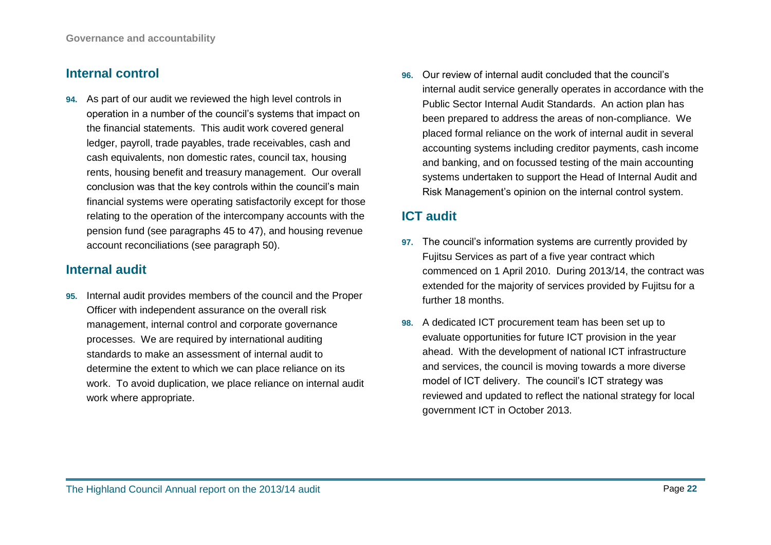## **Internal control**

**94.** As part of our audit we reviewed the high level controls in operation in a number of the council's systems that impact on the financial statements. This audit work covered general ledger, payroll, trade payables, trade receivables, cash and cash equivalents, non domestic rates, council tax, housing rents, housing benefit and treasury management. Our overall conclusion was that the key controls within the council's main financial systems were operating satisfactorily except for those relating to the operation of the intercompany accounts with the pension fund (see paragraphs 45 to 47), and housing revenue account reconciliations (see paragraph 50).

## **Internal audit**

**95.** Internal audit provides members of the council and the Proper Officer with independent assurance on the overall risk management, internal control and corporate governance processes. We are required by international auditing standards to make an assessment of internal audit to determine the extent to which we can place reliance on its work. To avoid duplication, we place reliance on internal audit work where appropriate.

**96.** Our review of internal audit concluded that the council's internal audit service generally operates in accordance with the Public Sector Internal Audit Standards. An action plan has been prepared to address the areas of non-compliance. We placed formal reliance on the work of internal audit in several accounting systems including creditor payments, cash income and banking, and on focussed testing of the main accounting systems undertaken to support the Head of Internal Audit and Risk Management's opinion on the internal control system.

## **ICT audit**

- **97.** The council's information systems are currently provided by Fujitsu Services as part of a five year contract which commenced on 1 April 2010. During 2013/14, the contract was extended for the majority of services provided by Fujitsu for a further 18 months.
- **98.** A dedicated ICT procurement team has been set up to evaluate opportunities for future ICT provision in the year ahead. With the development of national ICT infrastructure and services, the council is moving towards a more diverse model of ICT delivery. The council's ICT strategy was reviewed and updated to reflect the national strategy for local government ICT in October 2013.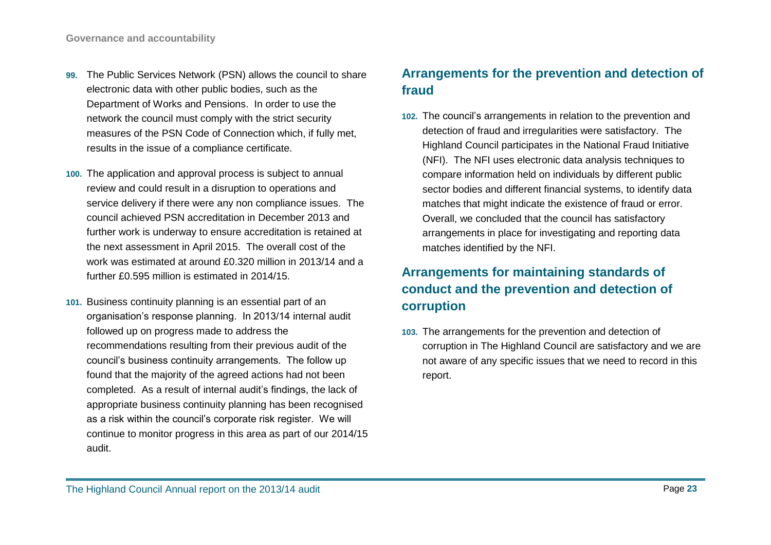- **99.** The Public Services Network (PSN) allows the council to share electronic data with other public bodies, such as the Department of Works and Pensions. In order to use the network the council must comply with the strict security measures of the PSN Code of Connection which, if fully met, results in the issue of a compliance certificate.
- **100.** The application and approval process is subject to annual review and could result in a disruption to operations and service delivery if there were any non compliance issues. The council achieved PSN accreditation in December 2013 and further work is underway to ensure accreditation is retained at the next assessment in April 2015. The overall cost of the work was estimated at around £0.320 million in 2013/14 and a further £0.595 million is estimated in 2014/15.
- **101.** Business continuity planning is an essential part of an organisation's response planning. In 2013/14 internal audit followed up on progress made to address the recommendations resulting from their previous audit of the council's business continuity arrangements. The follow up found that the majority of the agreed actions had not been completed. As a result of internal audit's findings, the lack of appropriate business continuity planning has been recognised as a risk within the council's corporate risk register. We will continue to monitor progress in this area as part of our 2014/15 audit.

## **Arrangements for the prevention and detection of fraud**

**102.** The council's arrangements in relation to the prevention and detection of fraud and irregularities were satisfactory. The Highland Council participates in the National Fraud Initiative (NFI). The NFI uses electronic data analysis techniques to compare information held on individuals by different public sector bodies and different financial systems, to identify data matches that might indicate the existence of fraud or error. Overall, we concluded that the council has satisfactory arrangements in place for investigating and reporting data matches identified by the NFI.

## **Arrangements for maintaining standards of conduct and the prevention and detection of corruption**

**103.** The arrangements for the prevention and detection of corruption in The Highland Council are satisfactory and we are not aware of any specific issues that we need to record in this report.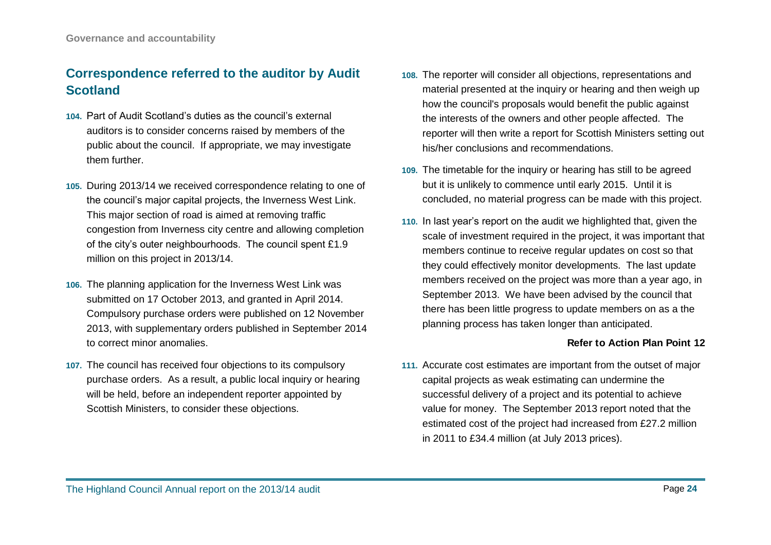## **Correspondence referred to the auditor by Audit Scotland**

- **104.** Part of Audit Scotland's duties as the council's external auditors is to consider concerns raised by members of the public about the council. If appropriate, we may investigate them further.
- **105.** During 2013/14 we received correspondence relating to one of the council's major capital projects, the Inverness West Link. This major section of road is aimed at removing traffic congestion from Inverness city centre and allowing completion of the city's outer neighbourhoods. The council spent £1.9 million on this project in 2013/14.
- **106.** The planning application for the Inverness West Link was submitted on 17 October 2013, and granted in April 2014. Compulsory purchase orders were published on 12 November 2013, with supplementary orders published in September 2014 to correct minor anomalies.
- **107.** The council has received four objections to its compulsory purchase orders. As a result, a public local inquiry or hearing will be held, before an independent reporter appointed by Scottish Ministers, to consider these objections.
- **108.** The reporter will consider all objections, representations and material presented at the inquiry or hearing and then weigh up how the council's proposals would benefit the public against the interests of the owners and other people affected. The reporter will then write a report for Scottish Ministers setting out his/her conclusions and recommendations.
- **109.** The timetable for the inquiry or hearing has still to be agreed but it is unlikely to commence until early 2015. Until it is concluded, no material progress can be made with this project.
- **110.** In last year's report on the audit we highlighted that, given the scale of investment required in the project, it was important that members continue to receive regular updates on cost so that they could effectively monitor developments. The last update members received on the project was more than a year ago, in September 2013. We have been advised by the council that there has been little progress to update members on as a the planning process has taken longer than anticipated.

#### **Refer to Action Plan Point 12**

**111.** Accurate cost estimates are important from the outset of major capital projects as weak estimating can undermine the successful delivery of a project and its potential to achieve value for money. The September 2013 report noted that the estimated cost of the project had increased from £27.2 million in 2011 to £34.4 million (at July 2013 prices).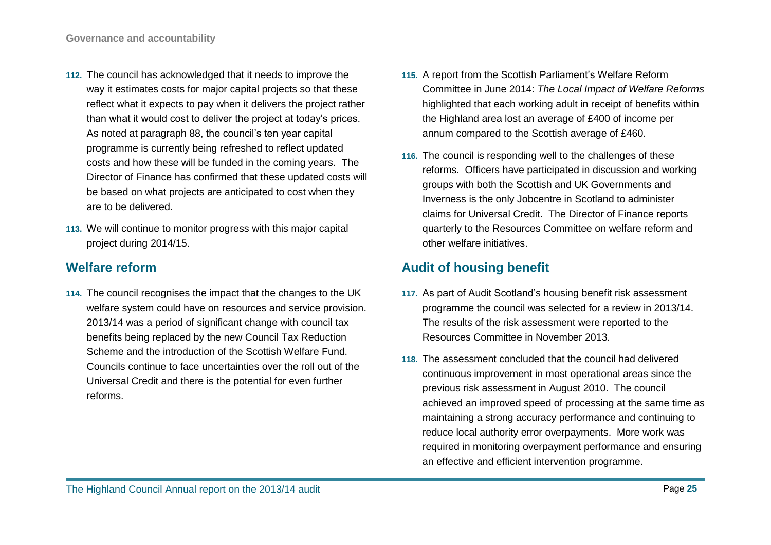- **112.** The council has acknowledged that it needs to improve the way it estimates costs for major capital projects so that these reflect what it expects to pay when it delivers the project rather than what it would cost to deliver the project at today's prices. As noted at paragraph 88, the council's ten year capital programme is currently being refreshed to reflect updated costs and how these will be funded in the coming years. The Director of Finance has confirmed that these updated costs will be based on what projects are anticipated to cost when they are to be delivered.
- **113.** We will continue to monitor progress with this major capital project during 2014/15.

## **Welfare reform**

**114.** The council recognises the impact that the changes to the UK welfare system could have on resources and service provision. 2013/14 was a period of significant change with council tax benefits being replaced by the new Council Tax Reduction Scheme and the introduction of the Scottish Welfare Fund. Councils continue to face uncertainties over the roll out of the Universal Credit and there is the potential for even further reforms.

- **115.** A report from the Scottish Parliament's Welfare Reform Committee in June 2014: *The Local Impact of Welfare Reforms* highlighted that each working adult in receipt of benefits within the Highland area lost an average of £400 of income per annum compared to the Scottish average of £460.
- **116.** The council is responding well to the challenges of these reforms. Officers have participated in discussion and working groups with both the Scottish and UK Governments and Inverness is the only Jobcentre in Scotland to administer claims for Universal Credit. The Director of Finance reports quarterly to the Resources Committee on welfare reform and other welfare initiatives.

## **Audit of housing benefit**

- **117.** As part of Audit Scotland's housing benefit risk assessment programme the council was selected for a review in 2013/14. The results of the risk assessment were reported to the Resources Committee in November 2013.
- **118.** The assessment concluded that the council had delivered continuous improvement in most operational areas since the previous risk assessment in August 2010. The council achieved an improved speed of processing at the same time as maintaining a strong accuracy performance and continuing to reduce local authority error overpayments. More work was required in monitoring overpayment performance and ensuring an effective and efficient intervention programme.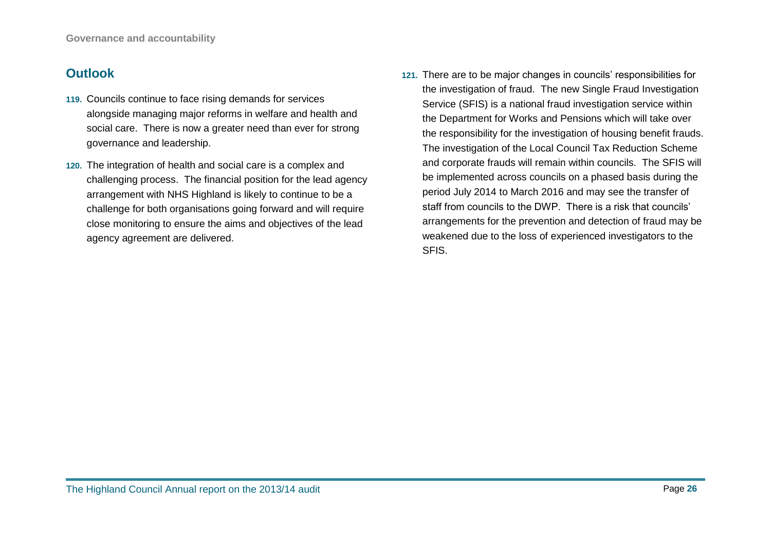## **Outlook**

- **119.** Councils continue to face rising demands for services alongside managing major reforms in welfare and health and social care. There is now a greater need than ever for strong governance and leadership.
- **120.** The integration of health and social care is a complex and challenging process. The financial position for the lead agency arrangement with NHS Highland is likely to continue to be a challenge for both organisations going forward and will require close monitoring to ensure the aims and objectives of the lead agency agreement are delivered.
- **121.** There are to be major changes in councils' responsibilities for the investigation of fraud. The new Single Fraud Investigation Service (SFIS) is a national fraud investigation service within the Department for Works and Pensions which will take over the responsibility for the investigation of housing benefit frauds. The investigation of the Local Council Tax Reduction Scheme and corporate frauds will remain within councils. The SFIS will be implemented across councils on a phased basis during the period July 2014 to March 2016 and may see the transfer of staff from councils to the DWP. There is a risk that councils' arrangements for the prevention and detection of fraud may be weakened due to the loss of experienced investigators to the SFIS.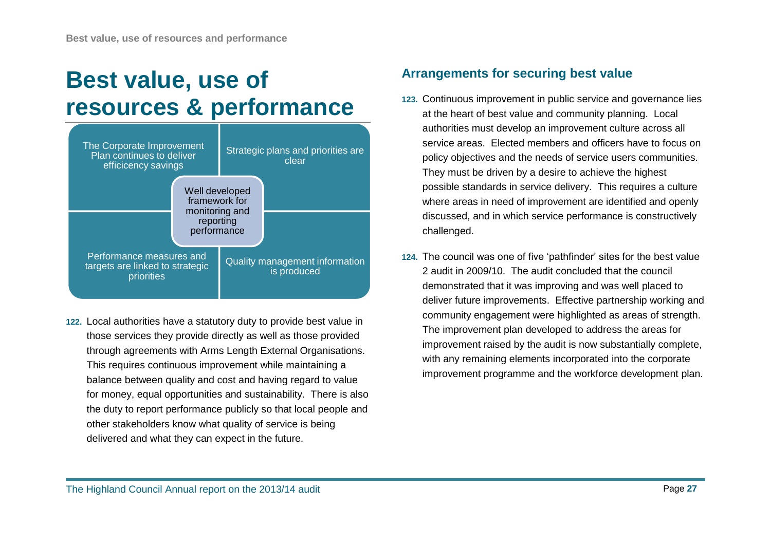# <span id="page-26-0"></span>**Best value, use of resources & performance**



**122.** Local authorities have a statutory duty to provide best value in those services they provide directly as well as those provided through agreements with Arms Length External Organisations. This requires continuous improvement while maintaining a balance between quality and cost and having regard to value for money, equal opportunities and sustainability. There is also the duty to report performance publicly so that local people and other stakeholders know what quality of service is being delivered and what they can expect in the future.

## **Arrangements for securing best value**

- **123.** Continuous improvement in public service and governance lies at the heart of best value and community planning. Local authorities must develop an improvement culture across all service areas. Elected members and officers have to focus on policy objectives and the needs of service users communities. They must be driven by a desire to achieve the highest possible standards in service delivery. This requires a culture where areas in need of improvement are identified and openly discussed, and in which service performance is constructively challenged.
- **124.** The council was one of five 'pathfinder' sites for the best value 2 audit in 2009/10. The audit concluded that the council demonstrated that it was improving and was well placed to deliver future improvements. Effective partnership working and community engagement were highlighted as areas of strength. The improvement plan developed to address the areas for improvement raised by the audit is now substantially complete, with any remaining elements incorporated into the corporate improvement programme and the workforce development plan.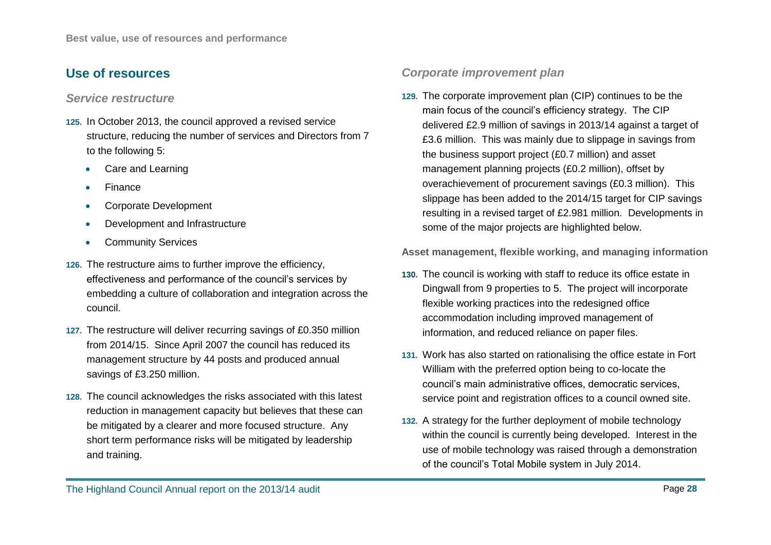## **Use of resources**

#### *Service restructure*

- **125.** In October 2013, the council approved a revised service structure, reducing the number of services and Directors from 7 to the following 5:
	- Care and Learning
	- Finance
	- Corporate Development
	- Development and Infrastructure
	- Community Services
- **126.** The restructure aims to further improve the efficiency, effectiveness and performance of the council's services by embedding a culture of collaboration and integration across the council.
- **127.** The restructure will deliver recurring savings of £0.350 million from 2014/15. Since April 2007 the council has reduced its management structure by 44 posts and produced annual savings of £3.250 million.
- **128.** The council acknowledges the risks associated with this latest reduction in management capacity but believes that these can be mitigated by a clearer and more focused structure. Any short term performance risks will be mitigated by leadership and training.

#### *Corporate improvement plan*

**129.** The corporate improvement plan (CIP) continues to be the main focus of the council's efficiency strategy. The CIP delivered £2.9 million of savings in 2013/14 against a target of £3.6 million. This was mainly due to slippage in savings from the business support project (£0.7 million) and asset management planning projects (£0.2 million), offset by overachievement of procurement savings (£0.3 million). This slippage has been added to the 2014/15 target for CIP savings resulting in a revised target of £2.981 million. Developments in some of the major projects are highlighted below.

**Asset management, flexible working, and managing information**

- **130.** The council is working with staff to reduce its office estate in Dingwall from 9 properties to 5. The project will incorporate flexible working practices into the redesigned office accommodation including improved management of information, and reduced reliance on paper files.
- **131.** Work has also started on rationalising the office estate in Fort William with the preferred option being to co-locate the council's main administrative offices, democratic services, service point and registration offices to a council owned site.
- **132.** A strategy for the further deployment of mobile technology within the council is currently being developed. Interest in the use of mobile technology was raised through a demonstration of the council's Total Mobile system in July 2014.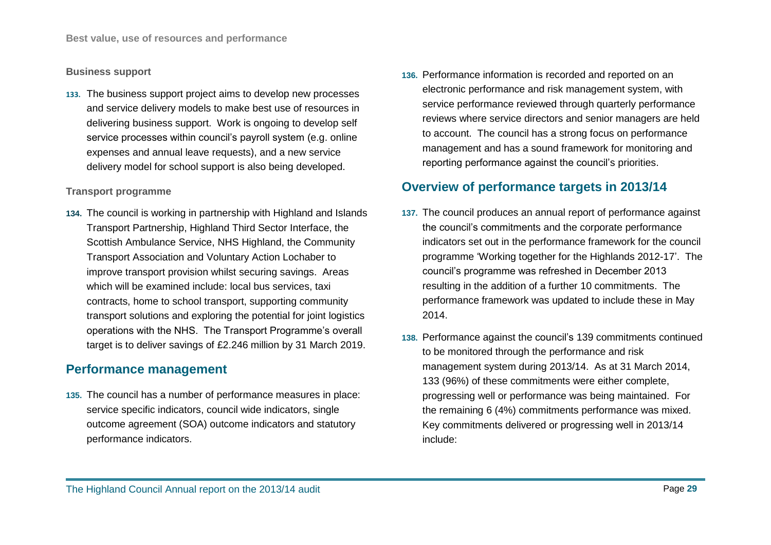#### **Business support**

**133.** The business support project aims to develop new processes and service delivery models to make best use of resources in delivering business support. Work is ongoing to develop self service processes within council's payroll system (e.g. online expenses and annual leave requests), and a new service delivery model for school support is also being developed.

#### **Transport programme**

**134.** The council is working in partnership with Highland and Islands Transport Partnership, Highland Third Sector Interface, the Scottish Ambulance Service, NHS Highland, the Community Transport Association and Voluntary Action Lochaber to improve transport provision whilst securing savings. Areas which will be examined include: local bus services, taxi contracts, home to school transport, supporting community transport solutions and exploring the potential for joint logistics operations with the NHS. The Transport Programme's overall target is to deliver savings of £2.246 million by 31 March 2019.

### **Performance management**

**135.** The council has a number of performance measures in place: service specific indicators, council wide indicators, single outcome agreement (SOA) outcome indicators and statutory performance indicators.

**136.** Performance information is recorded and reported on an electronic performance and risk management system, with service performance reviewed through quarterly performance reviews where service directors and senior managers are held to account. The council has a strong focus on performance management and has a sound framework for monitoring and reporting performance against the council's priorities.

### **Overview of performance targets in 2013/14**

- **137.** The council produces an annual report of performance against the council's commitments and the corporate performance indicators set out in the performance framework for the council programme 'Working together for the Highlands 2012-17'. The council's programme was refreshed in December 2013 resulting in the addition of a further 10 commitments. The performance framework was updated to include these in May 2014.
- **138.** Performance against the council's 139 commitments continued to be monitored through the performance and risk management system during 2013/14. As at 31 March 2014, 133 (96%) of these commitments were either complete, progressing well or performance was being maintained. For the remaining 6 (4%) commitments performance was mixed. Key commitments delivered or progressing well in 2013/14 include: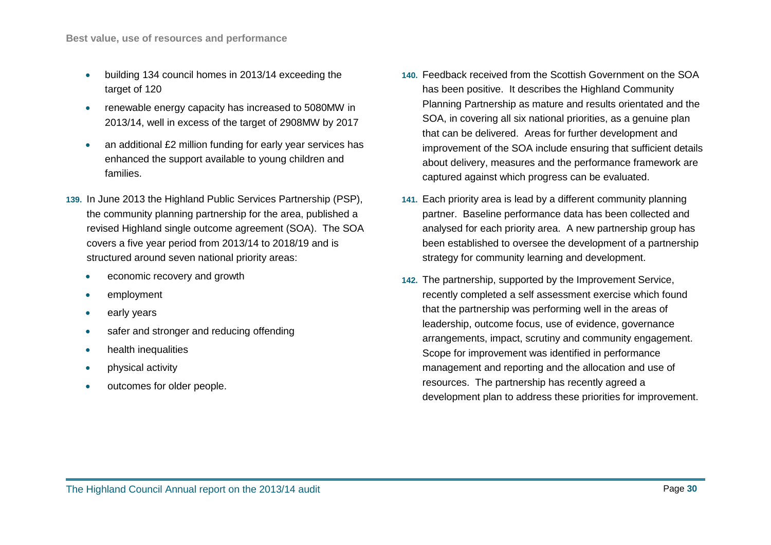- building 134 council homes in 2013/14 exceeding the target of 120
- renewable energy capacity has increased to 5080MW in 2013/14, well in excess of the target of 2908MW by 2017
- an additional £2 million funding for early year services has enhanced the support available to young children and families.
- **139.** In June 2013 the Highland Public Services Partnership (PSP), the community planning partnership for the area, published a revised Highland single outcome agreement (SOA). The SOA covers a five year period from 2013/14 to 2018/19 and is structured around seven national priority areas:
	- economic recovery and growth
	- employment
	- early years
	- safer and stronger and reducing offending
	- health inequalities
	- physical activity
	- outcomes for older people.
- **140.** Feedback received from the Scottish Government on the SOA has been positive. It describes the Highland Community Planning Partnership as mature and results orientated and the SOA, in covering all six national priorities, as a genuine plan that can be delivered. Areas for further development and improvement of the SOA include ensuring that sufficient details about delivery, measures and the performance framework are captured against which progress can be evaluated.
- **141.** Each priority area is lead by a different community planning partner. Baseline performance data has been collected and analysed for each priority area. A new partnership group has been established to oversee the development of a partnership strategy for community learning and development.
- **142.** The partnership, supported by the Improvement Service, recently completed a self assessment exercise which found that the partnership was performing well in the areas of leadership, outcome focus, use of evidence, governance arrangements, impact, scrutiny and community engagement. Scope for improvement was identified in performance management and reporting and the allocation and use of resources. The partnership has recently agreed a development plan to address these priorities for improvement.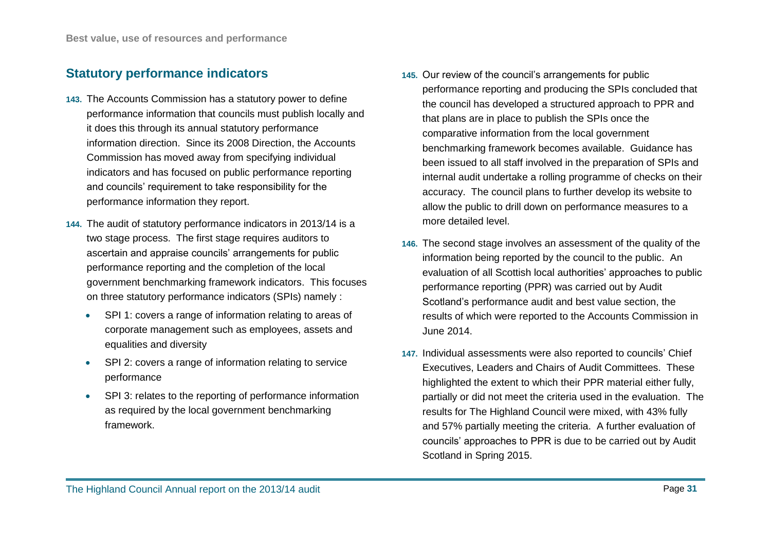## **Statutory performance indicators**

- **143.** The Accounts Commission has a statutory power to define performance information that councils must publish locally and it does this through its annual statutory performance information direction. Since its 2008 Direction, the Accounts Commission has moved away from specifying individual indicators and has focused on public performance reporting and councils' requirement to take responsibility for the performance information they report.
- **144.** The audit of statutory performance indicators in 2013/14 is a two stage process. The first stage requires auditors to ascertain and appraise councils' arrangements for public performance reporting and the completion of the local government benchmarking framework indicators. This focuses on three statutory performance indicators (SPIs) namely :
	- SPI 1: covers a range of information relating to areas of corporate management such as employees, assets and equalities and diversity
	- SPI 2: covers a range of information relating to service performance
	- SPI 3: relates to the reporting of performance information as required by the local government benchmarking framework.
- **145.** Our review of the council's arrangements for public performance reporting and producing the SPIs concluded that the council has developed a structured approach to PPR and that plans are in place to publish the SPIs once the comparative information from the local government benchmarking framework becomes available. Guidance has been issued to all staff involved in the preparation of SPIs and internal audit undertake a rolling programme of checks on their accuracy. The council plans to further develop its website to allow the public to drill down on performance measures to a more detailed level.
- **146.** The second stage involves an assessment of the quality of the information being reported by the council to the public. An evaluation of all Scottish local authorities' approaches to public performance reporting (PPR) was carried out by Audit Scotland's performance audit and best value section, the results of which were reported to the Accounts Commission in June 2014.
- **147.** Individual assessments were also reported to councils' Chief Executives, Leaders and Chairs of Audit Committees. These highlighted the extent to which their PPR material either fully, partially or did not meet the criteria used in the evaluation. The results for The Highland Council were mixed, with 43% fully and 57% partially meeting the criteria. A further evaluation of councils' approaches to PPR is due to be carried out by Audit Scotland in Spring 2015.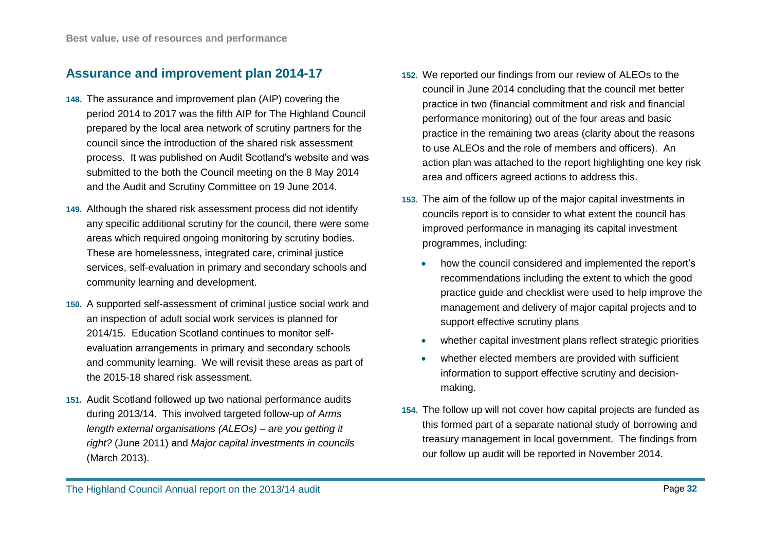### **Assurance and improvement plan 2014-17**

- **148.** The assurance and improvement plan (AIP) covering the period 2014 to 2017 was the fifth AIP for The Highland Council prepared by the local area network of scrutiny partners for the council since the introduction of the shared risk assessment process. It was published on Audit Scotland's website and was submitted to the both the Council meeting on the 8 May 2014 and the Audit and Scrutiny Committee on 19 June 2014.
- **149.** Although the shared risk assessment process did not identify any specific additional scrutiny for the council, there were some areas which required ongoing monitoring by scrutiny bodies. These are homelessness, integrated care, criminal justice services, self-evaluation in primary and secondary schools and community learning and development.
- **150.** A supported self-assessment of criminal justice social work and an inspection of adult social work services is planned for 2014/15. Education Scotland continues to monitor selfevaluation arrangements in primary and secondary schools and community learning. We will revisit these areas as part of the 2015-18 shared risk assessment.
- **151.** Audit Scotland followed up two national performance audits during 2013/14. This involved targeted follow-up *of Arms length external organisations (ALEOs) – are you getting it right?* (June 2011) and *Major capital investments in councils* (March 2013).
- **152.** We reported our findings from our review of ALEOs to the council in June 2014 concluding that the council met better practice in two (financial commitment and risk and financial performance monitoring) out of the four areas and basic practice in the remaining two areas (clarity about the reasons to use ALEOs and the role of members and officers). An action plan was attached to the report highlighting one key risk area and officers agreed actions to address this.
- **153.** The aim of the follow up of the major capital investments in councils report is to consider to what extent the council has improved performance in managing its capital investment programmes, including:
	- how the council considered and implemented the report's recommendations including the extent to which the good practice guide and checklist were used to help improve the management and delivery of major capital projects and to support effective scrutiny plans
	- whether capital investment plans reflect strategic priorities
	- whether elected members are provided with sufficient information to support effective scrutiny and decisionmaking.
- **154.** The follow up will not cover how capital projects are funded as this formed part of a separate national study of borrowing and treasury management in local government. The findings from our follow up audit will be reported in November 2014.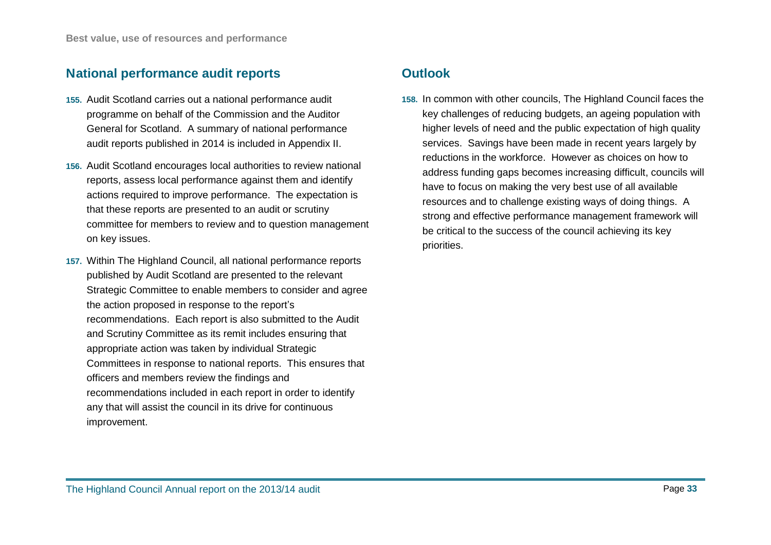## **National performance audit reports**

- **155.** Audit Scotland carries out a national performance audit programme on behalf of the Commission and the Auditor General for Scotland. A summary of national performance audit reports published in 2014 is included in Appendix II.
- **156.** Audit Scotland encourages local authorities to review national reports, assess local performance against them and identify actions required to improve performance. The expectation is that these reports are presented to an audit or scrutiny committee for members to review and to question management on key issues.
- **157.** Within The Highland Council, all national performance reports published by Audit Scotland are presented to the relevant Strategic Committee to enable members to consider and agree the action proposed in response to the report's recommendations. Each report is also submitted to the Audit and Scrutiny Committee as its remit includes ensuring that appropriate action was taken by individual Strategic Committees in response to national reports. This ensures that officers and members review the findings and recommendations included in each report in order to identify any that will assist the council in its drive for continuous improvement.

## **Outlook**

**158.** In common with other councils, The Highland Council faces the key challenges of reducing budgets, an ageing population with higher levels of need and the public expectation of high quality services. Savings have been made in recent years largely by reductions in the workforce. However as choices on how to address funding gaps becomes increasing difficult, councils will have to focus on making the very best use of all available resources and to challenge existing ways of doing things. A strong and effective performance management framework will be critical to the success of the council achieving its key priorities.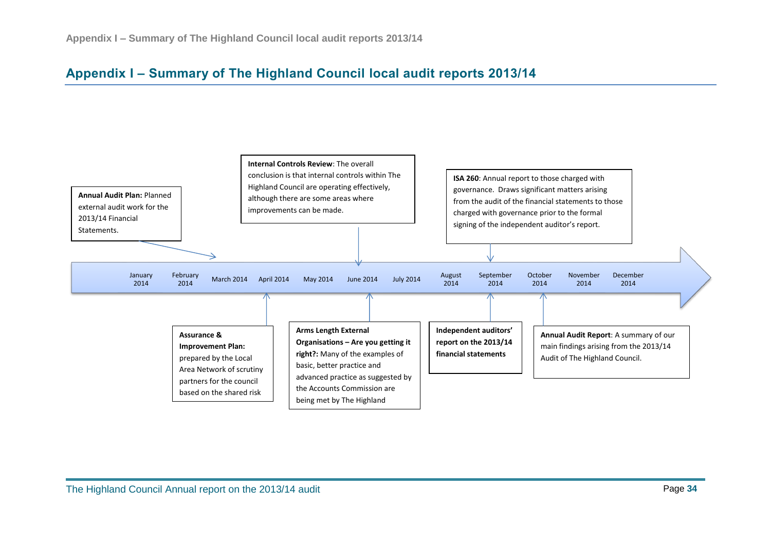## <span id="page-33-0"></span>**Appendix I – Summary of The Highland Council local audit reports 2013/14**

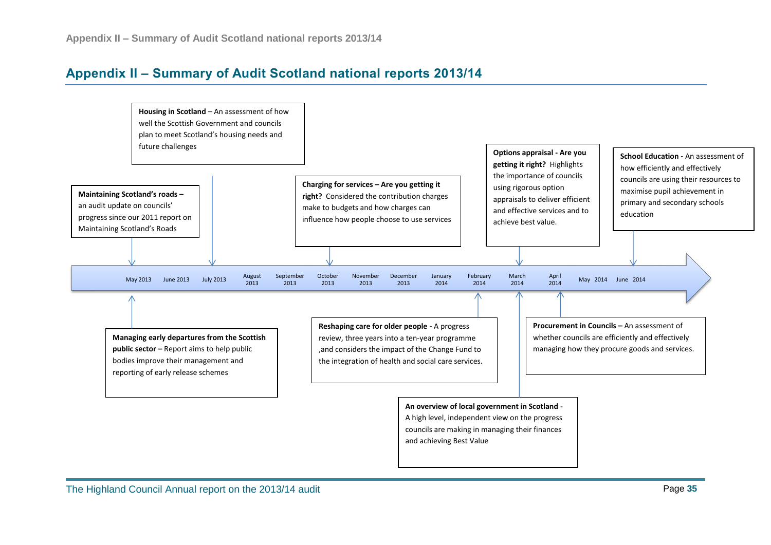## <span id="page-34-0"></span>**Appendix II – Summary of Audit Scotland national reports 2013/14**

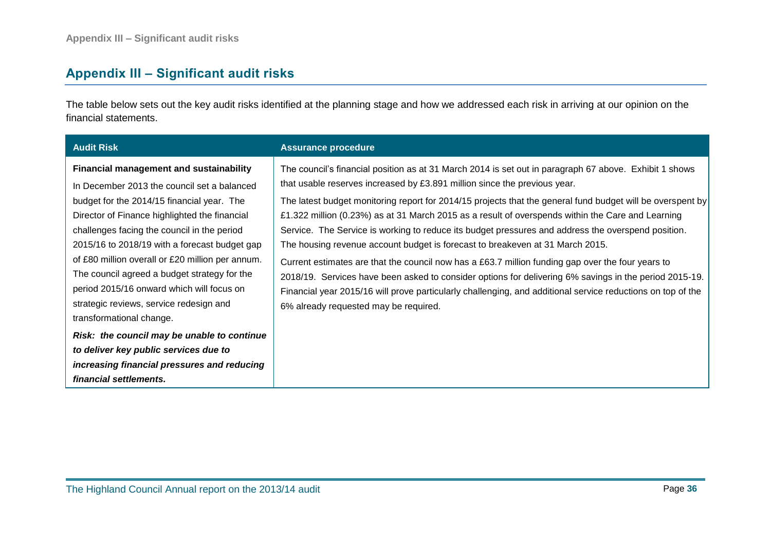## <span id="page-35-0"></span>**Appendix III – Significant audit risks**

The table below sets out the key audit risks identified at the planning stage and how we addressed each risk in arriving at our opinion on the financial statements.

| <b>Audit Risk</b>                                                                                                                                                                                                                                                                                                                                                                                                                                                                                                                                                                                                                                                                     | <b>Assurance procedure</b>                                                                                                                                                                                                                                                                                                                                                                                                                                                                                                                                                                                                                                                                                                                                                                                                                                                                                                                                           |
|---------------------------------------------------------------------------------------------------------------------------------------------------------------------------------------------------------------------------------------------------------------------------------------------------------------------------------------------------------------------------------------------------------------------------------------------------------------------------------------------------------------------------------------------------------------------------------------------------------------------------------------------------------------------------------------|----------------------------------------------------------------------------------------------------------------------------------------------------------------------------------------------------------------------------------------------------------------------------------------------------------------------------------------------------------------------------------------------------------------------------------------------------------------------------------------------------------------------------------------------------------------------------------------------------------------------------------------------------------------------------------------------------------------------------------------------------------------------------------------------------------------------------------------------------------------------------------------------------------------------------------------------------------------------|
| <b>Financial management and sustainability</b><br>In December 2013 the council set a balanced<br>budget for the 2014/15 financial year. The<br>Director of Finance highlighted the financial<br>challenges facing the council in the period<br>2015/16 to 2018/19 with a forecast budget gap<br>of £80 million overall or £20 million per annum.<br>The council agreed a budget strategy for the<br>period 2015/16 onward which will focus on<br>strategic reviews, service redesign and<br>transformational change.<br>Risk: the council may be unable to continue<br>to deliver key public services due to<br>increasing financial pressures and reducing<br>financial settlements. | The council's financial position as at 31 March 2014 is set out in paragraph 67 above. Exhibit 1 shows<br>that usable reserves increased by £3.891 million since the previous year.<br>The latest budget monitoring report for 2014/15 projects that the general fund budget will be overspent by<br>£1.322 million (0.23%) as at 31 March 2015 as a result of overspends within the Care and Learning<br>Service. The Service is working to reduce its budget pressures and address the overspend position.<br>The housing revenue account budget is forecast to breakeven at 31 March 2015.<br>Current estimates are that the council now has a £63.7 million funding gap over the four years to<br>2018/19. Services have been asked to consider options for delivering 6% savings in the period 2015-19.<br>Financial year 2015/16 will prove particularly challenging, and additional service reductions on top of the<br>6% already requested may be required. |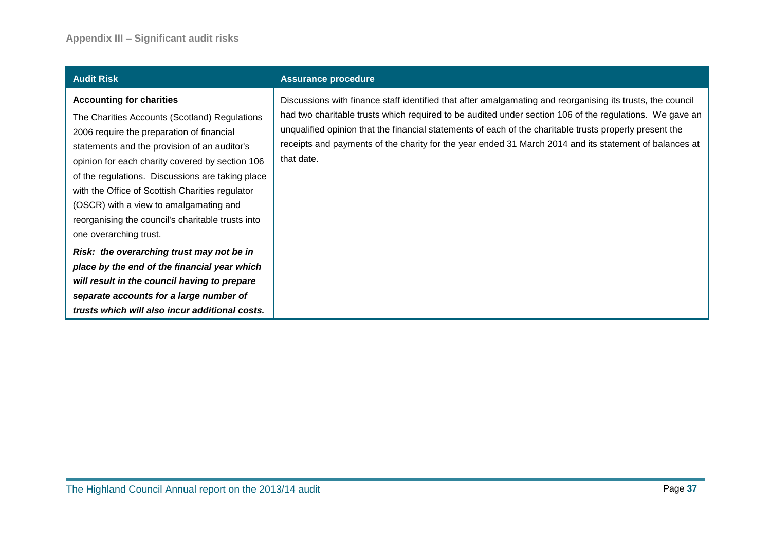|  |  |  | <b>Audit Risk</b> |  |
|--|--|--|-------------------|--|
|--|--|--|-------------------|--|

#### **Accounting for charities**

The Charities Accounts (Scotland) Regulations 2006 require the preparation of financial statements and the provision of an auditor's opinion for each charity covered by section 106 of the regulations. Discussions are taking place with the Office of Scottish Charities regulator (OSCR) with a view to amalgamating and reorganising the council's charitable trusts into one overarching trust.

*Risk: the overarching trust may not be in place by the end of the financial year which will result in the council having to prepare separate accounts for a large number of trusts which will also incur additional costs.*

#### **Assurance procedure**

Discussions with finance staff identified that after amalgamating and reorganising its trusts, the council had two charitable trusts which required to be audited under section 106 of the regulations. We gave an unqualified opinion that the financial statements of each of the charitable trusts properly present the receipts and payments of the charity for the year ended 31 March 2014 and its statement of balances at that date.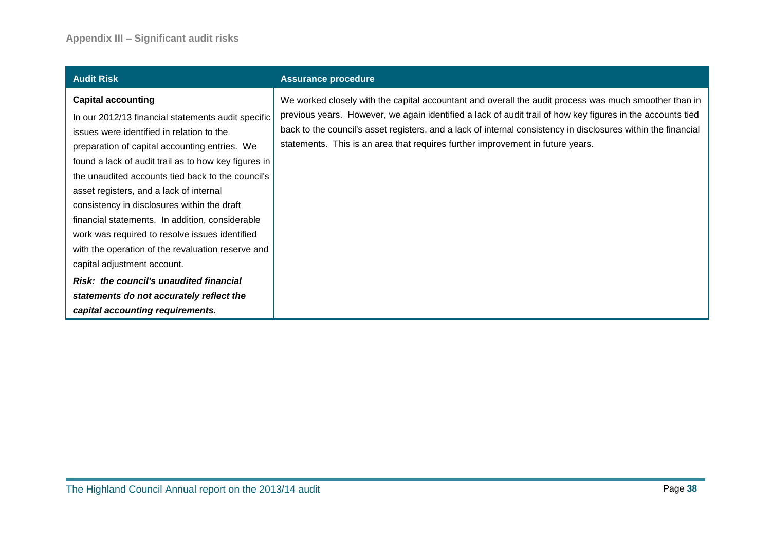| <b>Audit Risk</b>                                                                                                                                                                                                                                                                                                                                                                                                                                                                                                                                                                                                        | <b>Assurance procedure</b>                                                                                                                                                                                                                                                                                                                                                                                             |
|--------------------------------------------------------------------------------------------------------------------------------------------------------------------------------------------------------------------------------------------------------------------------------------------------------------------------------------------------------------------------------------------------------------------------------------------------------------------------------------------------------------------------------------------------------------------------------------------------------------------------|------------------------------------------------------------------------------------------------------------------------------------------------------------------------------------------------------------------------------------------------------------------------------------------------------------------------------------------------------------------------------------------------------------------------|
| <b>Capital accounting</b><br>In our 2012/13 financial statements audit specific<br>issues were identified in relation to the<br>preparation of capital accounting entries. We<br>found a lack of audit trail as to how key figures in<br>the unaudited accounts tied back to the council's<br>asset registers, and a lack of internal<br>consistency in disclosures within the draft<br>financial statements. In addition, considerable<br>work was required to resolve issues identified<br>with the operation of the revaluation reserve and<br>capital adjustment account.<br>Risk: the council's unaudited financial | We worked closely with the capital accountant and overall the audit process was much smoother than in<br>previous years. However, we again identified a lack of audit trail of how key figures in the accounts tied<br>back to the council's asset registers, and a lack of internal consistency in disclosures within the financial<br>statements. This is an area that requires further improvement in future years. |
| statements do not accurately reflect the                                                                                                                                                                                                                                                                                                                                                                                                                                                                                                                                                                                 |                                                                                                                                                                                                                                                                                                                                                                                                                        |
| capital accounting requirements.                                                                                                                                                                                                                                                                                                                                                                                                                                                                                                                                                                                         |                                                                                                                                                                                                                                                                                                                                                                                                                        |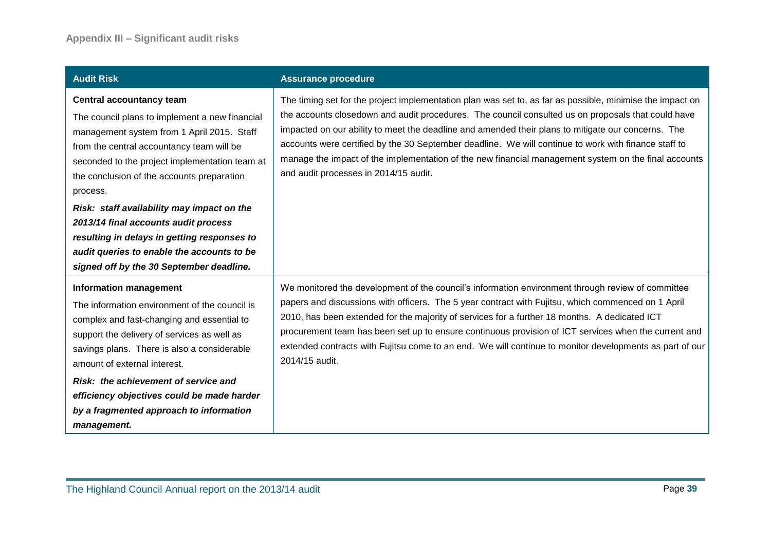| <b>Audit Risk</b>                                                                                                                                                                                                                                                                                                                                                                                                                                                                                                       | <b>Assurance procedure</b>                                                                                                                                                                                                                                                                                                                                                                                                                                                                                                                                                     |
|-------------------------------------------------------------------------------------------------------------------------------------------------------------------------------------------------------------------------------------------------------------------------------------------------------------------------------------------------------------------------------------------------------------------------------------------------------------------------------------------------------------------------|--------------------------------------------------------------------------------------------------------------------------------------------------------------------------------------------------------------------------------------------------------------------------------------------------------------------------------------------------------------------------------------------------------------------------------------------------------------------------------------------------------------------------------------------------------------------------------|
| <b>Central accountancy team</b><br>The council plans to implement a new financial<br>management system from 1 April 2015. Staff<br>from the central accountancy team will be<br>seconded to the project implementation team at<br>the conclusion of the accounts preparation<br>process.<br>Risk: staff availability may impact on the<br>2013/14 final accounts audit process<br>resulting in delays in getting responses to<br>audit queries to enable the accounts to be<br>signed off by the 30 September deadline. | The timing set for the project implementation plan was set to, as far as possible, minimise the impact on<br>the accounts closedown and audit procedures. The council consulted us on proposals that could have<br>impacted on our ability to meet the deadline and amended their plans to mitigate our concerns. The<br>accounts were certified by the 30 September deadline. We will continue to work with finance staff to<br>manage the impact of the implementation of the new financial management system on the final accounts<br>and audit processes in 2014/15 audit. |
| <b>Information management</b><br>The information environment of the council is<br>complex and fast-changing and essential to<br>support the delivery of services as well as<br>savings plans. There is also a considerable<br>amount of external interest.<br>Risk: the achievement of service and<br>efficiency objectives could be made harder<br>by a fragmented approach to information<br>management.                                                                                                              | We monitored the development of the council's information environment through review of committee<br>papers and discussions with officers. The 5 year contract with Fujitsu, which commenced on 1 April<br>2010, has been extended for the majority of services for a further 18 months. A dedicated ICT<br>procurement team has been set up to ensure continuous provision of ICT services when the current and<br>extended contracts with Fujitsu come to an end. We will continue to monitor developments as part of our<br>2014/15 audit.                                  |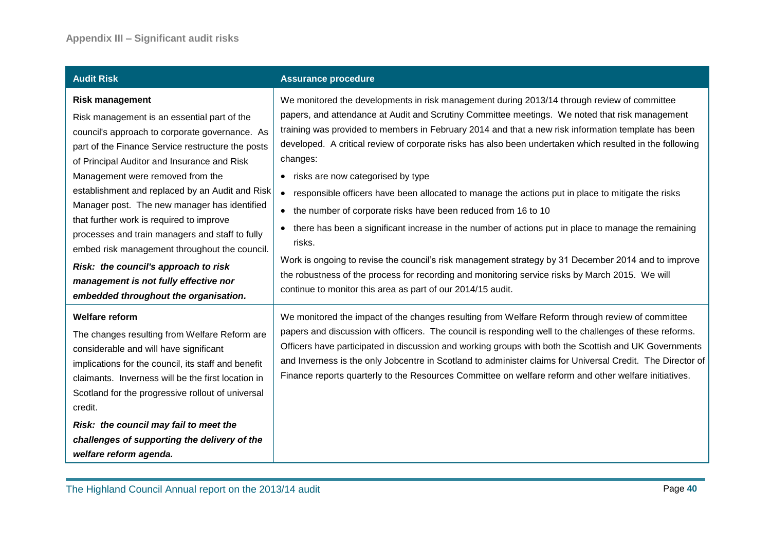| <b>Audit Risk</b>                                                                                                                                                                                                                                                                                                                                                                                                                                                                                                                                                                                                                            | <b>Assurance procedure</b>                                                                                                                                                                                                                                                                                                                                                                                                                                                                                                                                                                                                                                                                                                                                                                                                                                                                                                                                                                                                                                      |
|----------------------------------------------------------------------------------------------------------------------------------------------------------------------------------------------------------------------------------------------------------------------------------------------------------------------------------------------------------------------------------------------------------------------------------------------------------------------------------------------------------------------------------------------------------------------------------------------------------------------------------------------|-----------------------------------------------------------------------------------------------------------------------------------------------------------------------------------------------------------------------------------------------------------------------------------------------------------------------------------------------------------------------------------------------------------------------------------------------------------------------------------------------------------------------------------------------------------------------------------------------------------------------------------------------------------------------------------------------------------------------------------------------------------------------------------------------------------------------------------------------------------------------------------------------------------------------------------------------------------------------------------------------------------------------------------------------------------------|
| <b>Risk management</b><br>Risk management is an essential part of the<br>council's approach to corporate governance. As<br>part of the Finance Service restructure the posts<br>of Principal Auditor and Insurance and Risk<br>Management were removed from the<br>establishment and replaced by an Audit and Risk<br>Manager post. The new manager has identified<br>that further work is required to improve<br>processes and train managers and staff to fully<br>embed risk management throughout the council.<br>Risk: the council's approach to risk<br>management is not fully effective nor<br>embedded throughout the organisation. | We monitored the developments in risk management during 2013/14 through review of committee<br>papers, and attendance at Audit and Scrutiny Committee meetings. We noted that risk management<br>training was provided to members in February 2014 and that a new risk information template has been<br>developed. A critical review of corporate risks has also been undertaken which resulted in the following<br>changes:<br>• risks are now categorised by type<br>responsible officers have been allocated to manage the actions put in place to mitigate the risks<br>$\bullet$<br>• the number of corporate risks have been reduced from 16 to 10<br>there has been a significant increase in the number of actions put in place to manage the remaining<br>$\bullet$<br>risks.<br>Work is ongoing to revise the council's risk management strategy by 31 December 2014 and to improve<br>the robustness of the process for recording and monitoring service risks by March 2015. We will<br>continue to monitor this area as part of our 2014/15 audit. |
| <b>Welfare reform</b><br>The changes resulting from Welfare Reform are<br>considerable and will have significant<br>implications for the council, its staff and benefit<br>claimants. Inverness will be the first location in<br>Scotland for the progressive rollout of universal<br>credit.<br>Risk: the council may fail to meet the<br>challenges of supporting the delivery of the<br>welfare reform agenda.                                                                                                                                                                                                                            | We monitored the impact of the changes resulting from Welfare Reform through review of committee<br>papers and discussion with officers. The council is responding well to the challenges of these reforms.<br>Officers have participated in discussion and working groups with both the Scottish and UK Governments<br>and Inverness is the only Jobcentre in Scotland to administer claims for Universal Credit. The Director of<br>Finance reports quarterly to the Resources Committee on welfare reform and other welfare initiatives.                                                                                                                                                                                                                                                                                                                                                                                                                                                                                                                     |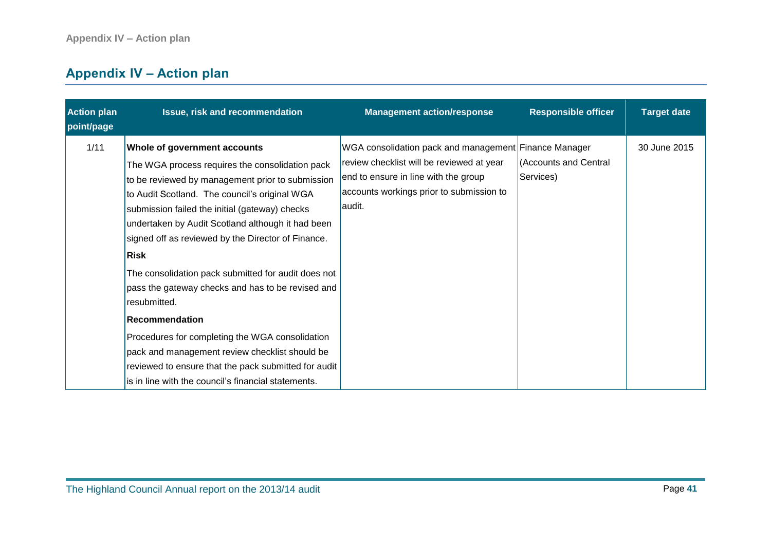## <span id="page-40-0"></span>**Appendix IV – Action plan**

| <b>Action plan</b><br>point/page | Issue, risk and recommendation                                                                                                                                                                                                                                                                                                                                                                                                                                                                                                                                                                                                                                              | <b>Management action/response</b>                                                                                                                                                                | <b>Responsible officer</b>         | <b>Target date</b> |
|----------------------------------|-----------------------------------------------------------------------------------------------------------------------------------------------------------------------------------------------------------------------------------------------------------------------------------------------------------------------------------------------------------------------------------------------------------------------------------------------------------------------------------------------------------------------------------------------------------------------------------------------------------------------------------------------------------------------------|--------------------------------------------------------------------------------------------------------------------------------------------------------------------------------------------------|------------------------------------|--------------------|
| 1/11                             | Whole of government accounts<br>The WGA process requires the consolidation pack<br>to be reviewed by management prior to submission<br>to Audit Scotland. The council's original WGA<br>submission failed the initial (gateway) checks<br>undertaken by Audit Scotland although it had been<br>signed off as reviewed by the Director of Finance.<br>Risk<br>The consolidation pack submitted for audit does not<br>pass the gateway checks and has to be revised and<br>resubmitted.<br><b>Recommendation</b><br>Procedures for completing the WGA consolidation<br>pack and management review checklist should be<br>reviewed to ensure that the pack submitted for audit | WGA consolidation pack and management Finance Manager<br>review checklist will be reviewed at year<br>end to ensure in line with the group<br>accounts workings prior to submission to<br>audit. | (Accounts and Central<br>Services) | 30 June 2015       |
|                                  | is in line with the council's financial statements.                                                                                                                                                                                                                                                                                                                                                                                                                                                                                                                                                                                                                         |                                                                                                                                                                                                  |                                    |                    |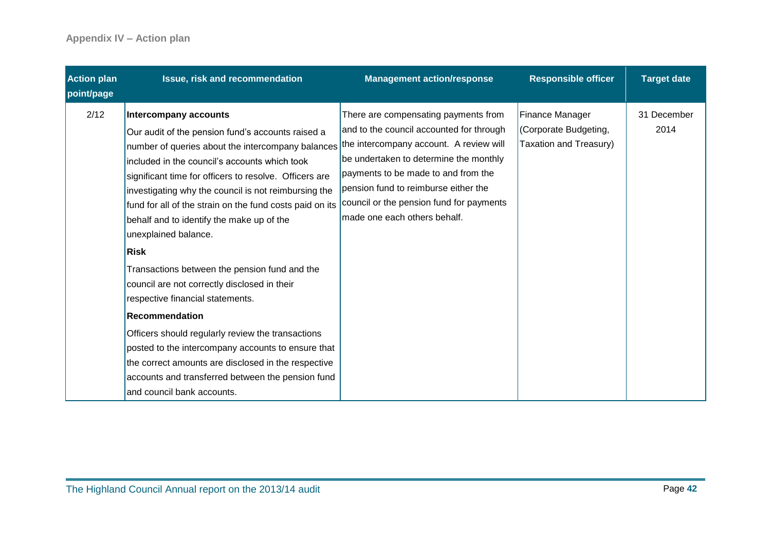| <b>Action plan</b><br>point/page | Issue, risk and recommendation                                                                                                                                                                                                                                                                                                                                                                                                                                                                                                                                                                                                                                                                                                                                                                                                                          | <b>Management action/response</b>                                                                                                                                                                                                                                                                                                | <b>Responsible officer</b>                                                | <b>Target date</b>  |
|----------------------------------|---------------------------------------------------------------------------------------------------------------------------------------------------------------------------------------------------------------------------------------------------------------------------------------------------------------------------------------------------------------------------------------------------------------------------------------------------------------------------------------------------------------------------------------------------------------------------------------------------------------------------------------------------------------------------------------------------------------------------------------------------------------------------------------------------------------------------------------------------------|----------------------------------------------------------------------------------------------------------------------------------------------------------------------------------------------------------------------------------------------------------------------------------------------------------------------------------|---------------------------------------------------------------------------|---------------------|
| 2/12                             | Intercompany accounts<br>Our audit of the pension fund's accounts raised a<br>number of queries about the intercompany balances<br>included in the council's accounts which took<br>significant time for officers to resolve. Officers are<br>investigating why the council is not reimbursing the<br>fund for all of the strain on the fund costs paid on its<br>behalf and to identify the make up of the<br>unexplained balance.<br>Risk<br>Transactions between the pension fund and the<br>council are not correctly disclosed in their<br>respective financial statements.<br>Recommendation<br>Officers should regularly review the transactions<br>posted to the intercompany accounts to ensure that<br>the correct amounts are disclosed in the respective<br>accounts and transferred between the pension fund<br>and council bank accounts. | There are compensating payments from<br>and to the council accounted for through<br>the intercompany account. A review will<br>be undertaken to determine the monthly<br>payments to be made to and from the<br>pension fund to reimburse either the<br>council or the pension fund for payments<br>made one each others behalf. | <b>Finance Manager</b><br>(Corporate Budgeting,<br>Taxation and Treasury) | 31 December<br>2014 |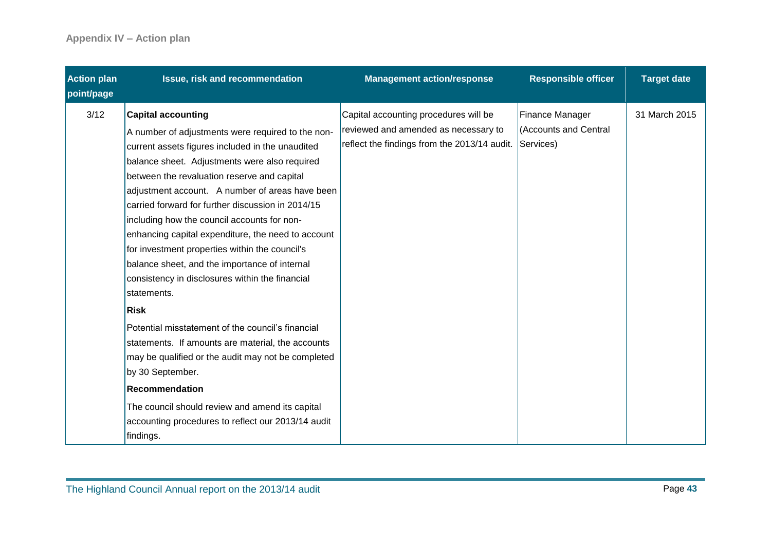| <b>Action plan</b><br>point/page | Issue, risk and recommendation                                                                                                                                                                                                                                                                                                                                                                                                                                                                                                                                                                                       | <b>Management action/response</b>                                                                                                       | <b>Responsible officer</b>               | <b>Target date</b> |
|----------------------------------|----------------------------------------------------------------------------------------------------------------------------------------------------------------------------------------------------------------------------------------------------------------------------------------------------------------------------------------------------------------------------------------------------------------------------------------------------------------------------------------------------------------------------------------------------------------------------------------------------------------------|-----------------------------------------------------------------------------------------------------------------------------------------|------------------------------------------|--------------------|
| 3/12                             | <b>Capital accounting</b><br>A number of adjustments were required to the non-<br>current assets figures included in the unaudited<br>balance sheet. Adjustments were also required<br>between the revaluation reserve and capital<br>adjustment account. A number of areas have been<br>carried forward for further discussion in 2014/15<br>including how the council accounts for non-<br>enhancing capital expenditure, the need to account<br>for investment properties within the council's<br>balance sheet, and the importance of internal<br>consistency in disclosures within the financial<br>statements. | Capital accounting procedures will be<br>reviewed and amended as necessary to<br>reflect the findings from the 2013/14 audit. Services) | Finance Manager<br>(Accounts and Central | 31 March 2015      |
|                                  | Risk                                                                                                                                                                                                                                                                                                                                                                                                                                                                                                                                                                                                                 |                                                                                                                                         |                                          |                    |
|                                  | Potential misstatement of the council's financial<br>statements. If amounts are material, the accounts<br>may be qualified or the audit may not be completed<br>by 30 September.                                                                                                                                                                                                                                                                                                                                                                                                                                     |                                                                                                                                         |                                          |                    |
|                                  | Recommendation                                                                                                                                                                                                                                                                                                                                                                                                                                                                                                                                                                                                       |                                                                                                                                         |                                          |                    |
|                                  | The council should review and amend its capital<br>accounting procedures to reflect our 2013/14 audit<br>findings.                                                                                                                                                                                                                                                                                                                                                                                                                                                                                                   |                                                                                                                                         |                                          |                    |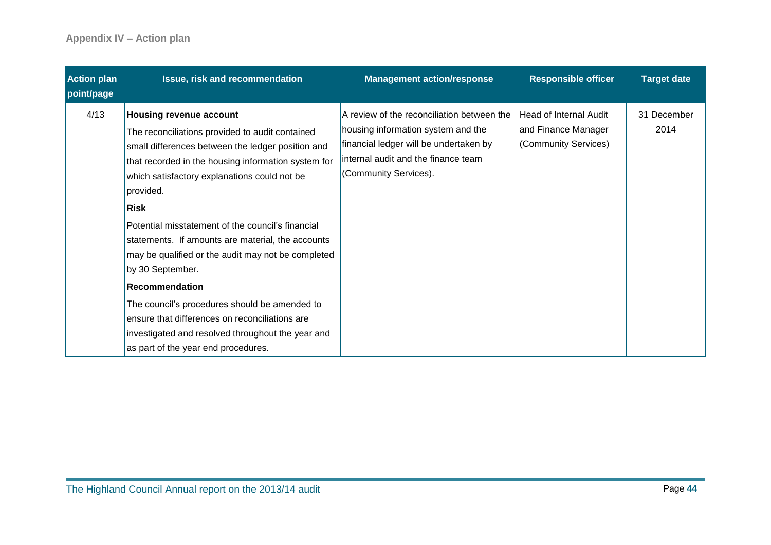| <b>Action plan</b><br>point/page | Issue, risk and recommendation                                                                                                                                                                                                                                                                                                                                                                                                                                                                                                                                                                                                                                          | <b>Management action/response</b>                                                                                                                                                          | <b>Responsible officer</b>                                                   | <b>Target date</b>  |
|----------------------------------|-------------------------------------------------------------------------------------------------------------------------------------------------------------------------------------------------------------------------------------------------------------------------------------------------------------------------------------------------------------------------------------------------------------------------------------------------------------------------------------------------------------------------------------------------------------------------------------------------------------------------------------------------------------------------|--------------------------------------------------------------------------------------------------------------------------------------------------------------------------------------------|------------------------------------------------------------------------------|---------------------|
| 4/13                             | <b>Housing revenue account</b><br>The reconciliations provided to audit contained<br>small differences between the ledger position and<br>that recorded in the housing information system for<br>which satisfactory explanations could not be<br>provided.<br>Risk<br>Potential misstatement of the council's financial<br>statements. If amounts are material, the accounts<br>may be qualified or the audit may not be completed<br>by 30 September.<br>Recommendation<br>The council's procedures should be amended to<br>ensure that differences on reconciliations are<br>investigated and resolved throughout the year and<br>as part of the year end procedures. | A review of the reconciliation between the<br>housing information system and the<br>financial ledger will be undertaken by<br>internal audit and the finance team<br>(Community Services). | <b>Head of Internal Audit</b><br>and Finance Manager<br>(Community Services) | 31 December<br>2014 |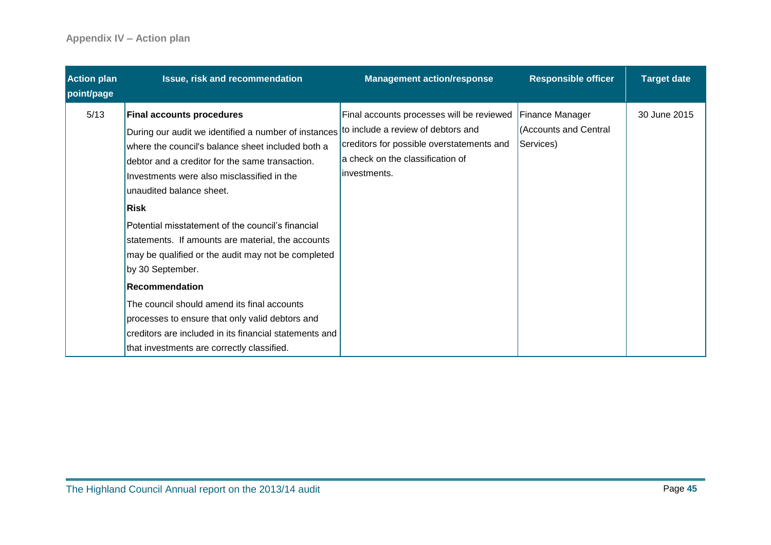| <b>Action plan</b><br>point/page | <b>Issue, risk and recommendation</b>                                                                                                                                                                                                                                                                                                                                                                                                                                                                                                                                                                                                                | <b>Management action/response</b>                                                                                                                                                | <b>Responsible officer</b>                                   | <b>Target date</b> |
|----------------------------------|------------------------------------------------------------------------------------------------------------------------------------------------------------------------------------------------------------------------------------------------------------------------------------------------------------------------------------------------------------------------------------------------------------------------------------------------------------------------------------------------------------------------------------------------------------------------------------------------------------------------------------------------------|----------------------------------------------------------------------------------------------------------------------------------------------------------------------------------|--------------------------------------------------------------|--------------------|
| 5/13                             | <b>Final accounts procedures</b><br>During our audit we identified a number of instances<br>where the council's balance sheet included both a<br>debtor and a creditor for the same transaction.<br>Investments were also misclassified in the<br>unaudited balance sheet.<br>Risk<br>Potential misstatement of the council's financial<br>statements. If amounts are material, the accounts<br>may be qualified or the audit may not be completed<br>by 30 September.<br>Recommendation<br>The council should amend its final accounts<br>processes to ensure that only valid debtors and<br>creditors are included in its financial statements and | Final accounts processes will be reviewed<br>to include a review of debtors and<br>creditors for possible overstatements and<br>a check on the classification of<br>investments. | <b>Finance Manager</b><br>(Accounts and Central<br>Services) | 30 June 2015       |
|                                  | that investments are correctly classified.                                                                                                                                                                                                                                                                                                                                                                                                                                                                                                                                                                                                           |                                                                                                                                                                                  |                                                              |                    |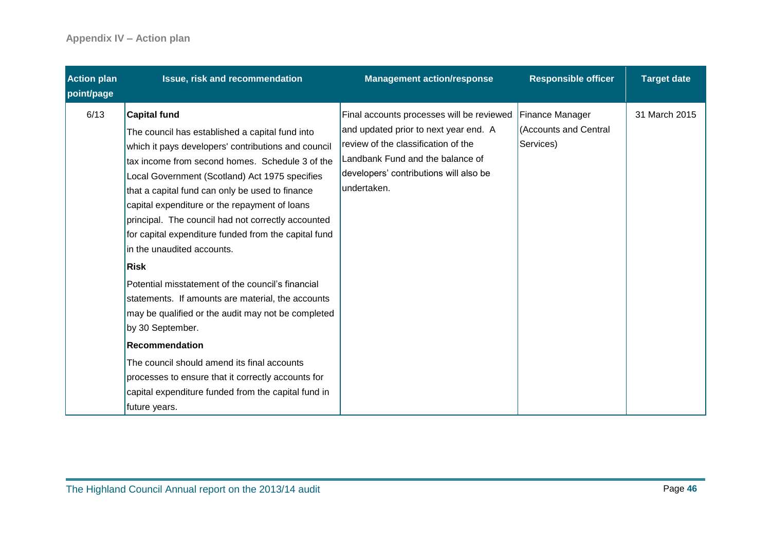| <b>Action plan</b><br>point/page | Issue, risk and recommendation                                                                                                                                                                                                                                                                                                                                                                                                                                                                                                                                                                                                                                                                                                                                                                                                                                                | <b>Management action/response</b>                                                                                                                                                                                      | <b>Responsible officer</b>                            | <b>Target date</b> |
|----------------------------------|-------------------------------------------------------------------------------------------------------------------------------------------------------------------------------------------------------------------------------------------------------------------------------------------------------------------------------------------------------------------------------------------------------------------------------------------------------------------------------------------------------------------------------------------------------------------------------------------------------------------------------------------------------------------------------------------------------------------------------------------------------------------------------------------------------------------------------------------------------------------------------|------------------------------------------------------------------------------------------------------------------------------------------------------------------------------------------------------------------------|-------------------------------------------------------|--------------------|
| 6/13                             | <b>Capital fund</b><br>The council has established a capital fund into<br>which it pays developers' contributions and council<br>tax income from second homes. Schedule 3 of the<br>Local Government (Scotland) Act 1975 specifies<br>that a capital fund can only be used to finance<br>capital expenditure or the repayment of loans<br>principal. The council had not correctly accounted<br>for capital expenditure funded from the capital fund<br>in the unaudited accounts.<br>Risk<br>Potential misstatement of the council's financial<br>statements. If amounts are material, the accounts<br>may be qualified or the audit may not be completed<br>by 30 September.<br>Recommendation<br>The council should amend its final accounts<br>processes to ensure that it correctly accounts for<br>capital expenditure funded from the capital fund in<br>future years. | Final accounts processes will be reviewed<br>and updated prior to next year end. A<br>review of the classification of the<br>Landbank Fund and the balance of<br>developers' contributions will also be<br>undertaken. | Finance Manager<br>(Accounts and Central<br>Services) | 31 March 2015      |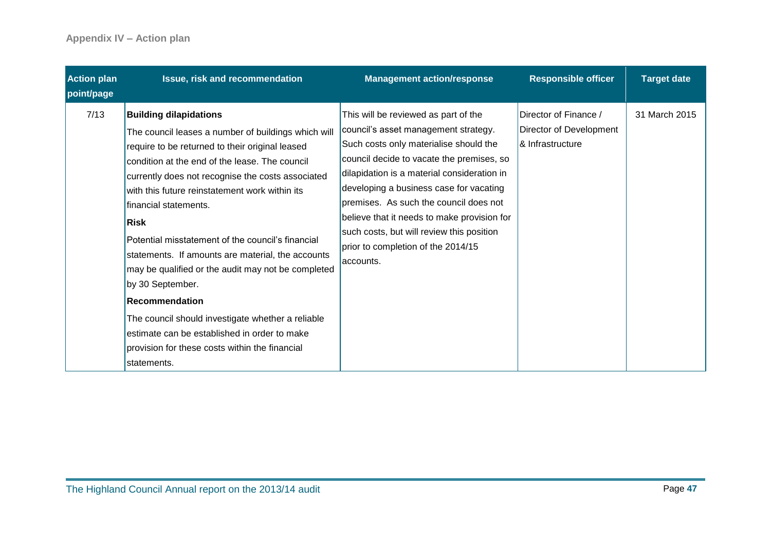| <b>Action plan</b><br>point/page | Issue, risk and recommendation                                                                                                                                                                                                                                                                                                                                                                                                                                                                                                                                                                                                                                                                                 | <b>Management action/response</b>                                                                                                                                                                                                                                                                                                                                                                                                                      | <b>Responsible officer</b>                                           | <b>Target date</b> |
|----------------------------------|----------------------------------------------------------------------------------------------------------------------------------------------------------------------------------------------------------------------------------------------------------------------------------------------------------------------------------------------------------------------------------------------------------------------------------------------------------------------------------------------------------------------------------------------------------------------------------------------------------------------------------------------------------------------------------------------------------------|--------------------------------------------------------------------------------------------------------------------------------------------------------------------------------------------------------------------------------------------------------------------------------------------------------------------------------------------------------------------------------------------------------------------------------------------------------|----------------------------------------------------------------------|--------------------|
| 7/13                             | <b>Building dilapidations</b><br>The council leases a number of buildings which will<br>require to be returned to their original leased<br>condition at the end of the lease. The council<br>currently does not recognise the costs associated<br>with this future reinstatement work within its<br>financial statements.<br>Risk<br>Potential misstatement of the council's financial<br>statements. If amounts are material, the accounts<br>may be qualified or the audit may not be completed<br>by 30 September.<br>Recommendation<br>The council should investigate whether a reliable<br>lestimate can be established in order to make<br>provision for these costs within the financial<br>statements. | This will be reviewed as part of the<br>council's asset management strategy.<br>Such costs only materialise should the<br>council decide to vacate the premises, so<br>dilapidation is a material consideration in<br>developing a business case for vacating<br>premises. As such the council does not<br>believe that it needs to make provision for<br>such costs, but will review this position<br>prior to completion of the 2014/15<br>accounts. | Director of Finance /<br>Director of Development<br>& Infrastructure | 31 March 2015      |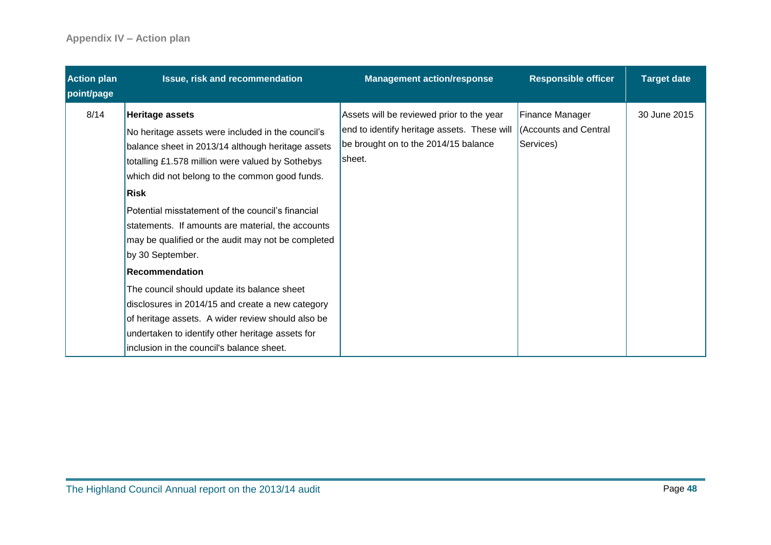| <b>Action plan</b><br>point/page | Issue, risk and recommendation                                                                                                                                                                                                                                                                                                                                                                                                                                                                                                                                                                                                                                                                          | <b>Management action/response</b>                                                                                                                                  | <b>Responsible officer</b>   | <b>Target date</b> |
|----------------------------------|---------------------------------------------------------------------------------------------------------------------------------------------------------------------------------------------------------------------------------------------------------------------------------------------------------------------------------------------------------------------------------------------------------------------------------------------------------------------------------------------------------------------------------------------------------------------------------------------------------------------------------------------------------------------------------------------------------|--------------------------------------------------------------------------------------------------------------------------------------------------------------------|------------------------------|--------------------|
| 8/14                             | Heritage assets<br>No heritage assets were included in the council's<br>balance sheet in 2013/14 although heritage assets<br>totalling £1.578 million were valued by Sothebys<br>which did not belong to the common good funds.<br>Risk<br>Potential misstatement of the council's financial<br>statements. If amounts are material, the accounts<br>may be qualified or the audit may not be completed<br>by 30 September.<br>Recommendation<br>The council should update its balance sheet<br>disclosures in 2014/15 and create a new category<br>of heritage assets. A wider review should also be<br>undertaken to identify other heritage assets for<br>linclusion in the council's balance sheet. | Assets will be reviewed prior to the year<br>end to identify heritage assets. These will   (Accounts and Central<br>be brought on to the 2014/15 balance<br>sheet. | Finance Manager<br>Services) | 30 June 2015       |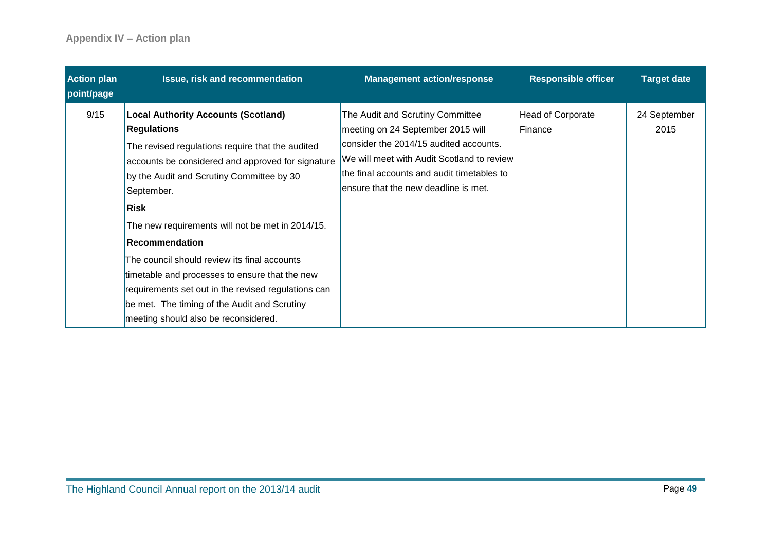| <b>Action plan</b><br>point/page | Issue, risk and recommendation                                                                                                                                                                                                                                                                                                                                                                                                                                                                                                                                      | <b>Management action/response</b>                                                                                                                                                                                                                   | <b>Responsible officer</b>          | <b>Target date</b>   |
|----------------------------------|---------------------------------------------------------------------------------------------------------------------------------------------------------------------------------------------------------------------------------------------------------------------------------------------------------------------------------------------------------------------------------------------------------------------------------------------------------------------------------------------------------------------------------------------------------------------|-----------------------------------------------------------------------------------------------------------------------------------------------------------------------------------------------------------------------------------------------------|-------------------------------------|----------------------|
| 9/15                             | <b>Local Authority Accounts (Scotland)</b><br><b>Regulations</b><br>The revised regulations require that the audited<br>accounts be considered and approved for signature<br>by the Audit and Scrutiny Committee by 30<br>September.<br>Risk<br>The new requirements will not be met in 2014/15.<br>Recommendation<br>The council should review its final accounts<br>timetable and processes to ensure that the new<br>requirements set out in the revised regulations can<br>be met. The timing of the Audit and Scrutiny<br>meeting should also be reconsidered. | The Audit and Scrutiny Committee<br>meeting on 24 September 2015 will<br>consider the 2014/15 audited accounts.<br>We will meet with Audit Scotland to review<br>the final accounts and audit timetables to<br>ensure that the new deadline is met. | <b>Head of Corporate</b><br>Finance | 24 September<br>2015 |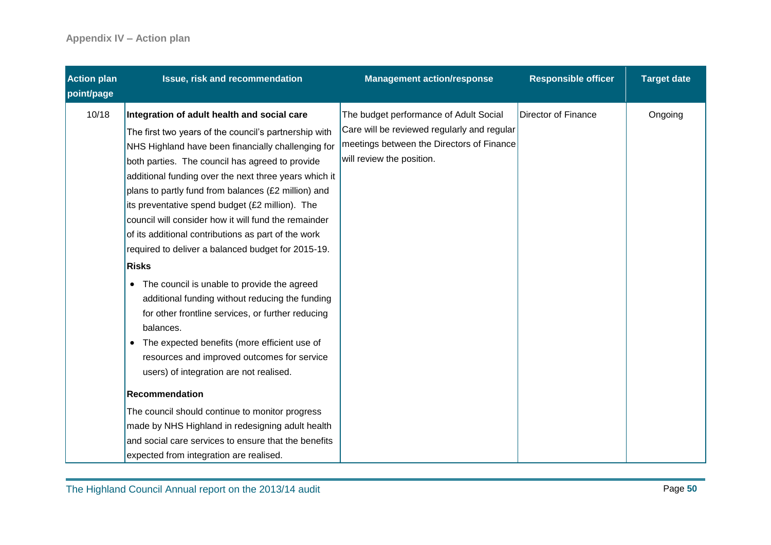| <b>Action plan</b><br>point/page | Issue, risk and recommendation                                                                                                                                                                                                                                                                                                                                                                                                                                                                                                                                                                                                                                                                                                                                                                                                                                                          | <b>Management action/response</b>                                                                                                                               | <b>Responsible officer</b> | <b>Target date</b> |
|----------------------------------|-----------------------------------------------------------------------------------------------------------------------------------------------------------------------------------------------------------------------------------------------------------------------------------------------------------------------------------------------------------------------------------------------------------------------------------------------------------------------------------------------------------------------------------------------------------------------------------------------------------------------------------------------------------------------------------------------------------------------------------------------------------------------------------------------------------------------------------------------------------------------------------------|-----------------------------------------------------------------------------------------------------------------------------------------------------------------|----------------------------|--------------------|
| 10/18                            | Integration of adult health and social care<br>The first two years of the council's partnership with<br>NHS Highland have been financially challenging for<br>both parties. The council has agreed to provide<br>additional funding over the next three years which it<br>plans to partly fund from balances (£2 million) and<br>its preventative spend budget (£2 million). The<br>council will consider how it will fund the remainder<br>of its additional contributions as part of the work<br>required to deliver a balanced budget for 2015-19.<br><b>Risks</b><br>• The council is unable to provide the agreed<br>additional funding without reducing the funding<br>for other frontline services, or further reducing<br>balances.<br>• The expected benefits (more efficient use of<br>resources and improved outcomes for service<br>users) of integration are not realised. | The budget performance of Adult Social<br>Care will be reviewed regularly and regular<br>meetings between the Directors of Finance<br>will review the position. | Director of Finance        | Ongoing            |
|                                  | <b>Recommendation</b><br>The council should continue to monitor progress<br>made by NHS Highland in redesigning adult health<br>and social care services to ensure that the benefits<br>expected from integration are realised.                                                                                                                                                                                                                                                                                                                                                                                                                                                                                                                                                                                                                                                         |                                                                                                                                                                 |                            |                    |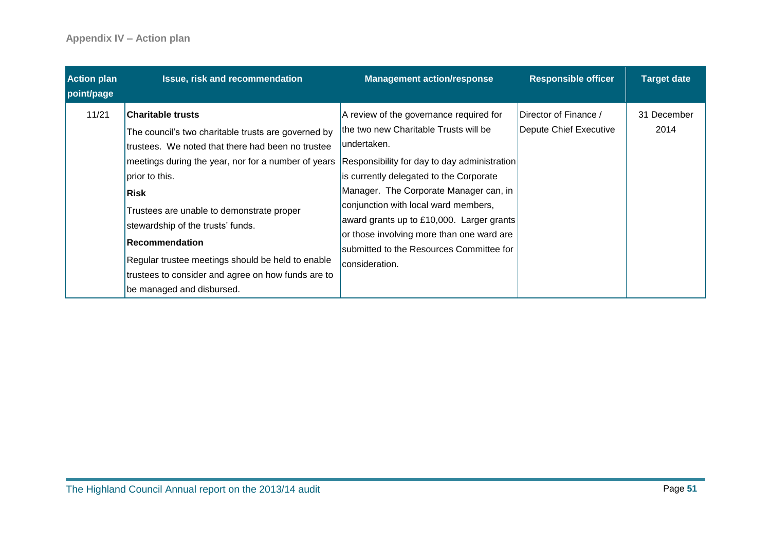| <b>Action plan</b><br>point/page | <b>Issue, risk and recommendation</b>                                                                                                                                                                                                                                                                                                                                                                                                                             | <b>Management action/response</b>                                                                                                                                                                                                                                                                                                                                                                                                    | <b>Responsible officer</b>                      | <b>Target date</b>  |
|----------------------------------|-------------------------------------------------------------------------------------------------------------------------------------------------------------------------------------------------------------------------------------------------------------------------------------------------------------------------------------------------------------------------------------------------------------------------------------------------------------------|--------------------------------------------------------------------------------------------------------------------------------------------------------------------------------------------------------------------------------------------------------------------------------------------------------------------------------------------------------------------------------------------------------------------------------------|-------------------------------------------------|---------------------|
| 11/21                            | <b>Charitable trusts</b><br>The council's two charitable trusts are governed by<br>trustees. We noted that there had been no trustee<br>meetings during the year, nor for a number of years<br>prior to this.<br>Risk<br>Trustees are unable to demonstrate proper<br>stewardship of the trusts' funds.<br>Recommendation<br>Regular trustee meetings should be held to enable<br>trustees to consider and agree on how funds are to<br>be managed and disbursed. | A review of the governance required for<br>the two new Charitable Trusts will be<br>undertaken.<br>Responsibility for day to day administration<br>is currently delegated to the Corporate<br>Manager. The Corporate Manager can, in<br>conjunction with local ward members,<br>award grants up to £10,000. Larger grants<br>or those involving more than one ward are<br>submitted to the Resources Committee for<br>consideration. | Director of Finance /<br>Depute Chief Executive | 31 December<br>2014 |